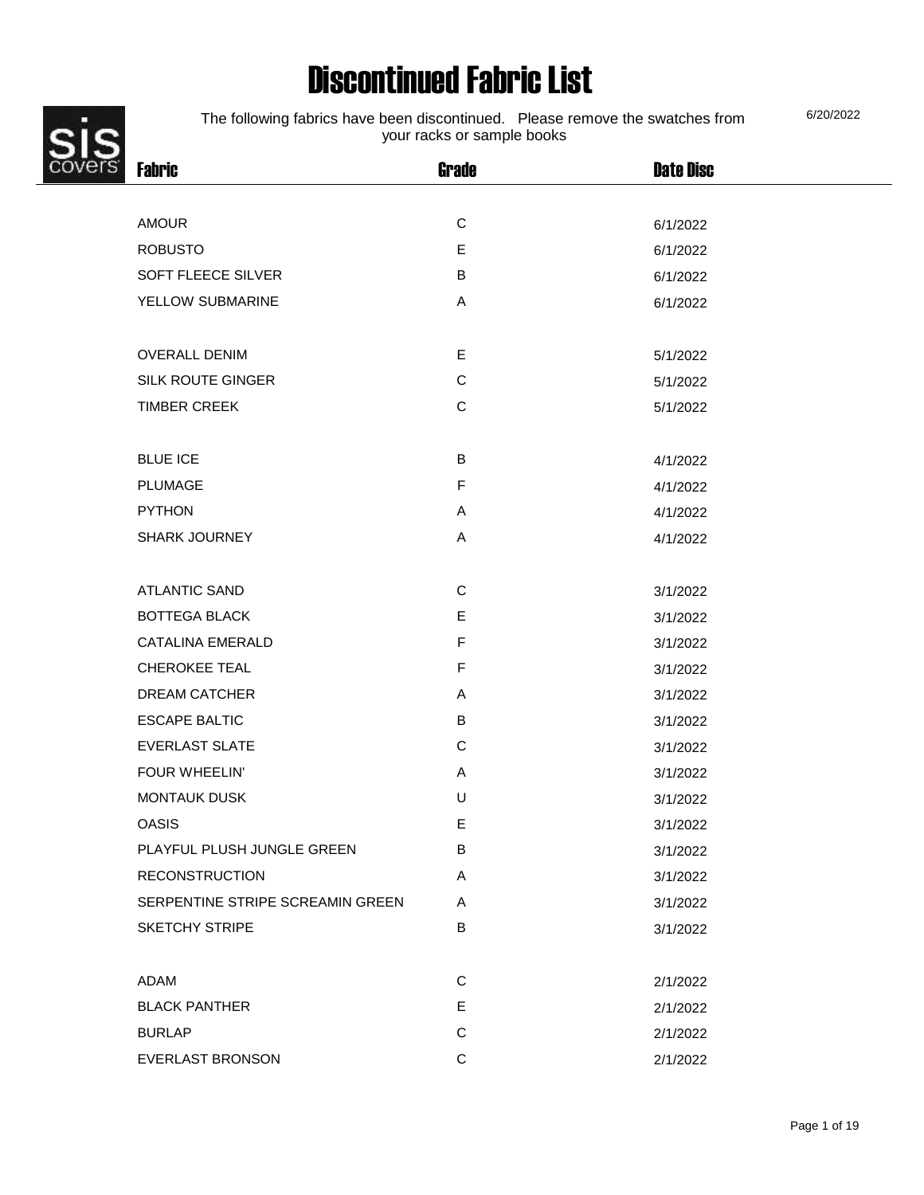# Discontinued Fabric List



The following fabrics have been discontinued. Please remove the swatches from your racks or sample books

Fabric Grade Date Disc AMOUR 6/1/2022 ROBUSTO **E** 6/1/2022 SOFT FLEECE SILVER B B 6/1/2022 YELLOW SUBMARINE A A 6/1/2022 OVERALL DENIM E 5/1/2022 SILK ROUTE GINGER COMPUTE GING RESERVE THE STATE OF STATE STATES AND THE STATE OF STATES AND STATES AND STATES TIMBER CREEK CONTROL CONTROLLER CONTROLLER S/1/2022 BLUE ICE B 4/1/2022 PLUMAGE F 4/1/2022

| <b>PYTHON</b>                    | A | 4/1/2022 |
|----------------------------------|---|----------|
| <b>SHARK JOURNEY</b>             | A | 4/1/2022 |
|                                  |   |          |
| <b>ATLANTIC SAND</b>             | C | 3/1/2022 |
| <b>BOTTEGA BLACK</b>             | E | 3/1/2022 |
| <b>CATALINA EMERALD</b>          | F | 3/1/2022 |
| <b>CHEROKEE TEAL</b>             | E | 3/1/2022 |
| <b>DREAM CATCHER</b>             | A | 3/1/2022 |
| <b>ESCAPE BALTIC</b>             | B | 3/1/2022 |
| <b>EVERLAST SLATE</b>            | C | 3/1/2022 |
| <b>FOUR WHEELIN'</b>             | A | 3/1/2022 |
| <b>MONTAUK DUSK</b>              | U | 3/1/2022 |
| <b>OASIS</b>                     | E | 3/1/2022 |
| PLAYFUL PLUSH JUNGLE GREEN       | B | 3/1/2022 |
| <b>RECONSTRUCTION</b>            | A | 3/1/2022 |
| SERPENTINE STRIPE SCREAMIN GREEN | A | 3/1/2022 |
| <b>SKETCHY STRIPE</b>            | B | 3/1/2022 |
|                                  |   |          |
| ADAM                             | C | 2/1/2022 |
| <b>BLACK PANTHER</b>             | E | 2/1/2022 |
| <b>BURLAP</b>                    | C | 2/1/2022 |
| <b>EVERLAST BRONSON</b>          | C | 2/1/2022 |

6/20/2022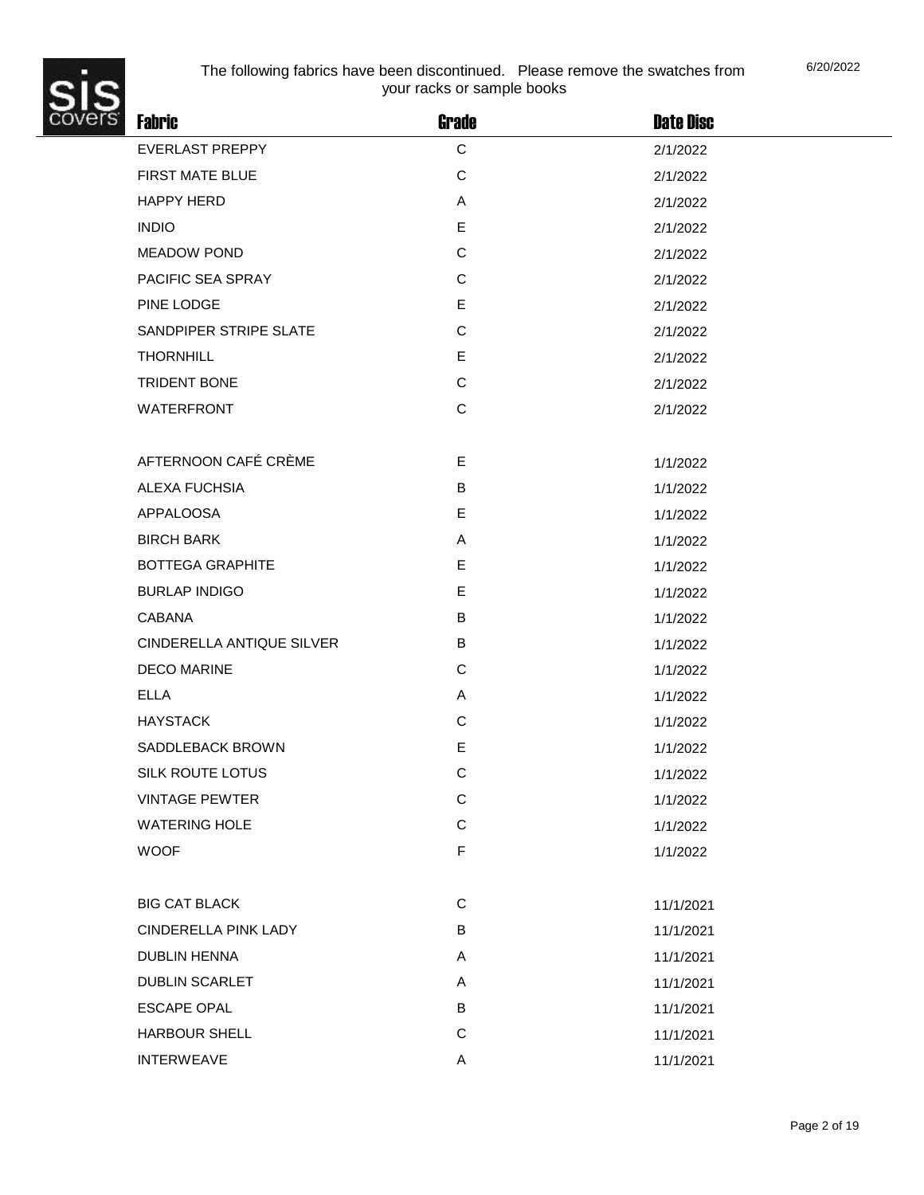

| <b>Fabric</b>             | Grade        | <b>Date Disc</b> |  |
|---------------------------|--------------|------------------|--|
| <b>EVERLAST PREPPY</b>    | $\mathbf C$  | 2/1/2022         |  |
| FIRST MATE BLUE           | $\mathbf C$  | 2/1/2022         |  |
| <b>HAPPY HERD</b>         | A            | 2/1/2022         |  |
| <b>INDIO</b>              | E            | 2/1/2022         |  |
| <b>MEADOW POND</b>        | $\mathbf C$  | 2/1/2022         |  |
| PACIFIC SEA SPRAY         | $\mathsf{C}$ | 2/1/2022         |  |
| PINE LODGE                | E            | 2/1/2022         |  |
| SANDPIPER STRIPE SLATE    | C            | 2/1/2022         |  |
| <b>THORNHILL</b>          | E            | 2/1/2022         |  |
| <b>TRIDENT BONE</b>       | $\mathsf C$  | 2/1/2022         |  |
| <b>WATERFRONT</b>         | C            | 2/1/2022         |  |
|                           |              |                  |  |
| AFTERNOON CAFÉ CRÈME      | E            | 1/1/2022         |  |
| ALEXA FUCHSIA             | B            | 1/1/2022         |  |
| <b>APPALOOSA</b>          | E            | 1/1/2022         |  |
| <b>BIRCH BARK</b>         | A            | 1/1/2022         |  |
| <b>BOTTEGA GRAPHITE</b>   | E            | 1/1/2022         |  |
| <b>BURLAP INDIGO</b>      | E            | 1/1/2022         |  |
| <b>CABANA</b>             | B            | 1/1/2022         |  |
| CINDERELLA ANTIQUE SILVER | B            | 1/1/2022         |  |
| <b>DECO MARINE</b>        | C            | 1/1/2022         |  |
| <b>ELLA</b>               | A            | 1/1/2022         |  |
| <b>HAYSTACK</b>           | C            | 1/1/2022         |  |
| SADDLEBACK BROWN          | $\mathsf E$  | 1/1/2022         |  |
| <b>SILK ROUTE LOTUS</b>   | $\mathsf{C}$ | 1/1/2022         |  |
| <b>VINTAGE PEWTER</b>     | $\mathsf C$  | 1/1/2022         |  |
| <b>WATERING HOLE</b>      | $\mathsf C$  | 1/1/2022         |  |
| <b>WOOF</b>               | $\mathsf F$  | 1/1/2022         |  |
|                           |              |                  |  |
| <b>BIG CAT BLACK</b>      | C            | 11/1/2021        |  |
| CINDERELLA PINK LADY      | B            | 11/1/2021        |  |
| <b>DUBLIN HENNA</b>       | A            | 11/1/2021        |  |
| <b>DUBLIN SCARLET</b>     | A            | 11/1/2021        |  |
| <b>ESCAPE OPAL</b>        | B            | 11/1/2021        |  |
| <b>HARBOUR SHELL</b>      | $\mathbf C$  | 11/1/2021        |  |
| <b>INTERWEAVE</b>         | Α            | 11/1/2021        |  |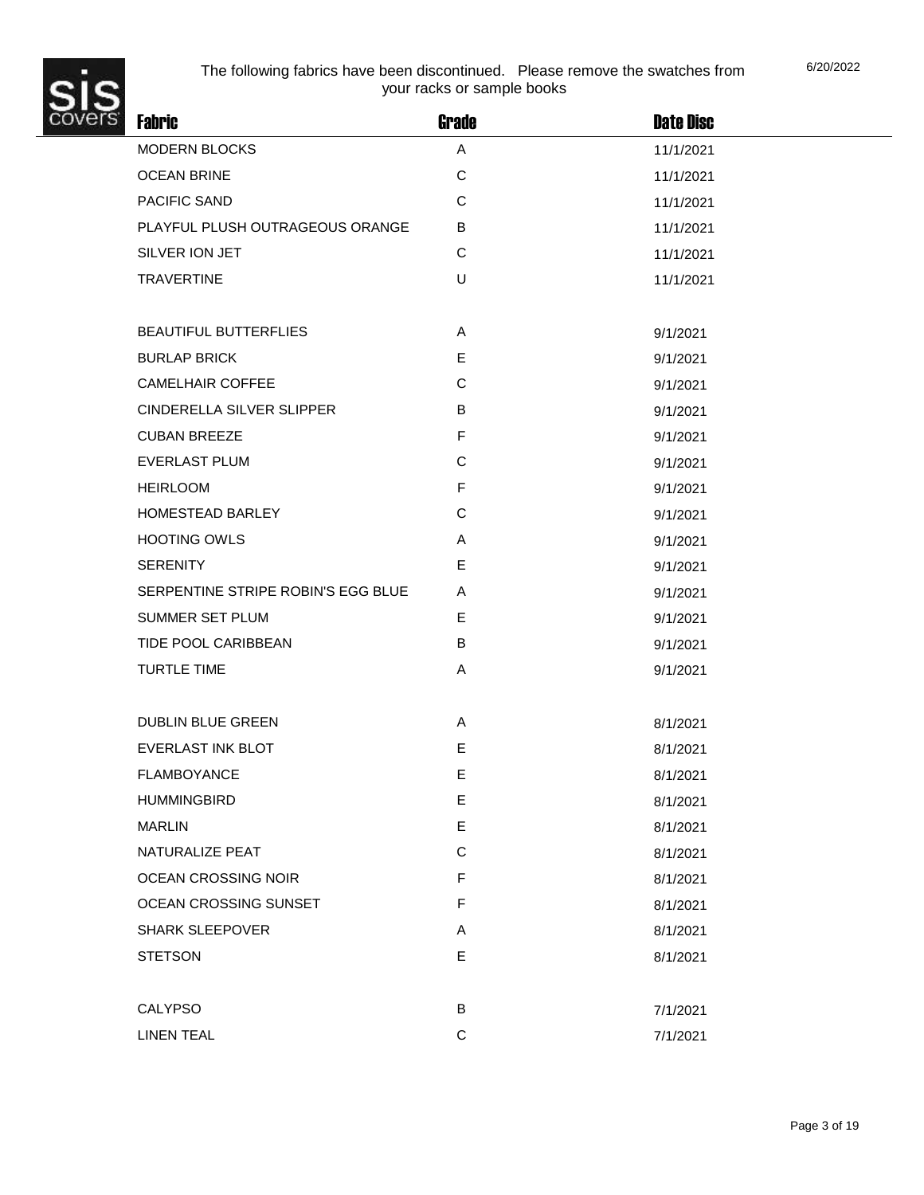

| <b>Fabric</b>                      | <b>Grade</b> | <b>Date Disc</b> |
|------------------------------------|--------------|------------------|
| MODERN BLOCKS                      | A            | 11/1/2021        |
| <b>OCEAN BRINE</b>                 | $\mathsf C$  | 11/1/2021        |
| PACIFIC SAND                       | $\mathsf C$  | 11/1/2021        |
| PLAYFUL PLUSH OUTRAGEOUS ORANGE    | B            | 11/1/2021        |
| SILVER ION JET                     | C            | 11/1/2021        |
| <b>TRAVERTINE</b>                  | $\cup$       | 11/1/2021        |
|                                    |              |                  |
| <b>BEAUTIFUL BUTTERFLIES</b>       | Α            | 9/1/2021         |
| <b>BURLAP BRICK</b>                | E            | 9/1/2021         |
| <b>CAMELHAIR COFFEE</b>            | $\mathsf C$  | 9/1/2021         |
| CINDERELLA SILVER SLIPPER          | B            | 9/1/2021         |
| <b>CUBAN BREEZE</b>                | $\mathsf F$  | 9/1/2021         |
| <b>EVERLAST PLUM</b>               | C            | 9/1/2021         |
| <b>HEIRLOOM</b>                    | $\mathsf F$  | 9/1/2021         |
| HOMESTEAD BARLEY                   | C            | 9/1/2021         |
| <b>HOOTING OWLS</b>                | Α            | 9/1/2021         |
| <b>SERENITY</b>                    | E            | 9/1/2021         |
| SERPENTINE STRIPE ROBIN'S EGG BLUE | A            | 9/1/2021         |
| SUMMER SET PLUM                    | Е            | 9/1/2021         |
| TIDE POOL CARIBBEAN                | B            | 9/1/2021         |
| <b>TURTLE TIME</b>                 | Α            | 9/1/2021         |
|                                    |              |                  |
| DUBLIN BLUE GREEN                  | Α            | 8/1/2021         |
| <b>EVERLAST INK BLOT</b>           | E            | 8/1/2021         |
| <b>FLAMBOYANCE</b>                 | E            | 8/1/2021         |
| <b>HUMMINGBIRD</b>                 | E            | 8/1/2021         |
| <b>MARLIN</b>                      | E            | 8/1/2021         |
| NATURALIZE PEAT                    | C            | 8/1/2021         |
| OCEAN CROSSING NOIR                | F            | 8/1/2021         |
| OCEAN CROSSING SUNSET              | F            | 8/1/2021         |
| <b>SHARK SLEEPOVER</b>             | A            | 8/1/2021         |
| <b>STETSON</b>                     | E            | 8/1/2021         |
|                                    |              |                  |
| CALYPSO                            | B            | 7/1/2021         |
| <b>LINEN TEAL</b>                  | $\mathbf C$  | 7/1/2021         |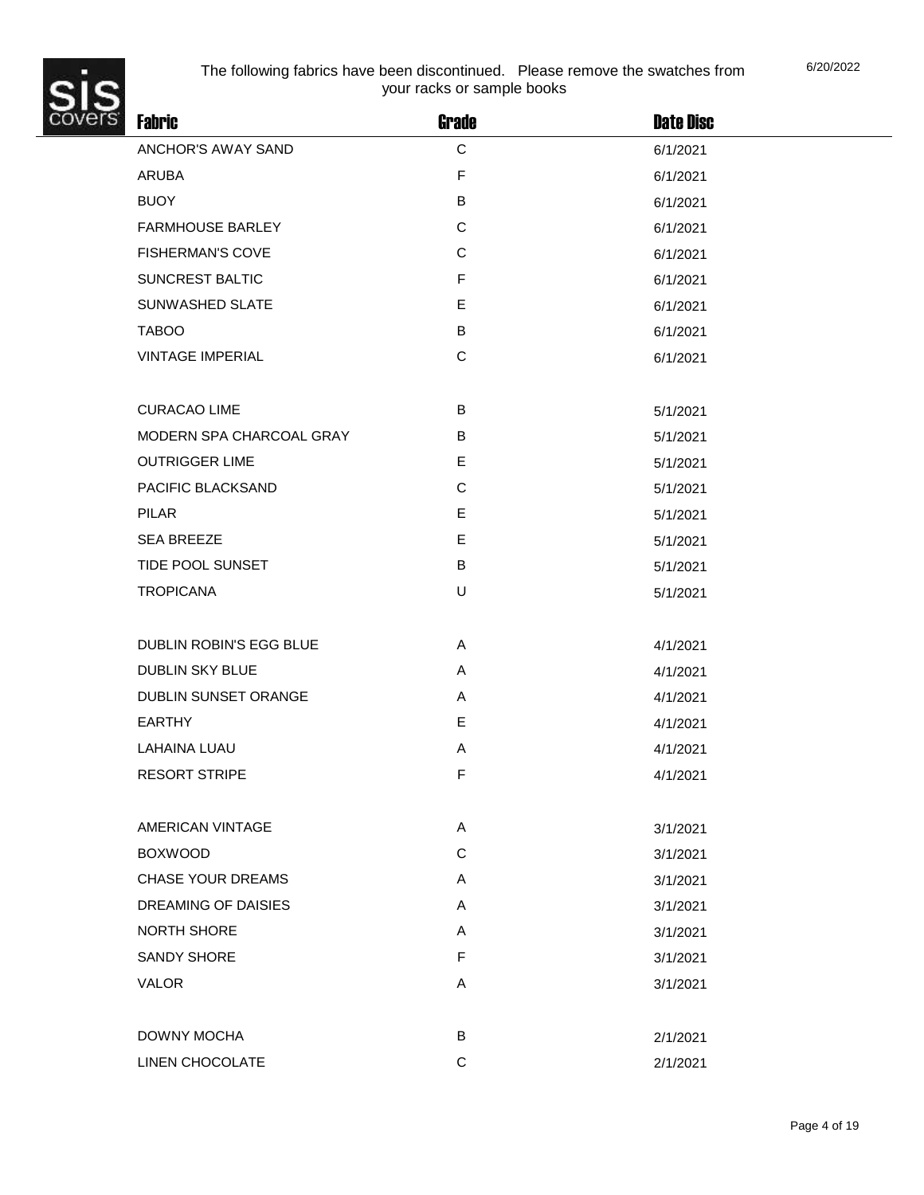

| ř. | <b>Fabric</b>               | <b>Grade</b> | <b>Date Disc</b> |  |
|----|-----------------------------|--------------|------------------|--|
|    | ANCHOR'S AWAY SAND          | $\mathsf C$  | 6/1/2021         |  |
|    | ARUBA                       | F            | 6/1/2021         |  |
|    | <b>BUOY</b>                 | В            | 6/1/2021         |  |
|    | <b>FARMHOUSE BARLEY</b>     | $\mathsf C$  | 6/1/2021         |  |
|    | <b>FISHERMAN'S COVE</b>     | C            | 6/1/2021         |  |
|    | SUNCREST BALTIC             | F            | 6/1/2021         |  |
|    | SUNWASHED SLATE             | E            | 6/1/2021         |  |
|    | <b>TABOO</b>                | В            | 6/1/2021         |  |
|    | <b>VINTAGE IMPERIAL</b>     | $\mathsf C$  | 6/1/2021         |  |
|    | <b>CURACAO LIME</b>         | B            |                  |  |
|    | MODERN SPA CHARCOAL GRAY    | B            | 5/1/2021         |  |
|    |                             |              | 5/1/2021         |  |
|    | <b>OUTRIGGER LIME</b>       | E            | 5/1/2021         |  |
|    | PACIFIC BLACKSAND           | C            | 5/1/2021         |  |
|    | <b>PILAR</b>                | E<br>E       | 5/1/2021         |  |
|    | <b>SEA BREEZE</b>           |              | 5/1/2021         |  |
|    | TIDE POOL SUNSET            | В            | 5/1/2021         |  |
|    | <b>TROPICANA</b>            | U            | 5/1/2021         |  |
|    | DUBLIN ROBIN'S EGG BLUE     | Α            | 4/1/2021         |  |
|    | <b>DUBLIN SKY BLUE</b>      | A            | 4/1/2021         |  |
|    | <b>DUBLIN SUNSET ORANGE</b> | A            | 4/1/2021         |  |
|    | EARTHY                      | E            | 4/1/2021         |  |
|    | <b>LAHAINA LUAU</b>         | Α            | 4/1/2021         |  |
|    | <b>RESORT STRIPE</b>        | F            | 4/1/2021         |  |
|    | AMERICAN VINTAGE            | A            | 3/1/2021         |  |
|    | <b>BOXWOOD</b>              | C            | 3/1/2021         |  |
|    | <b>CHASE YOUR DREAMS</b>    | Α            | 3/1/2021         |  |
|    | DREAMING OF DAISIES         | A            | 3/1/2021         |  |
|    | <b>NORTH SHORE</b>          | Α            | 3/1/2021         |  |
|    | SANDY SHORE                 | F            | 3/1/2021         |  |
|    | <b>VALOR</b>                | Α            |                  |  |
|    |                             |              | 3/1/2021         |  |
|    | DOWNY MOCHA                 | В            | 2/1/2021         |  |
|    | LINEN CHOCOLATE             | C            | 2/1/2021         |  |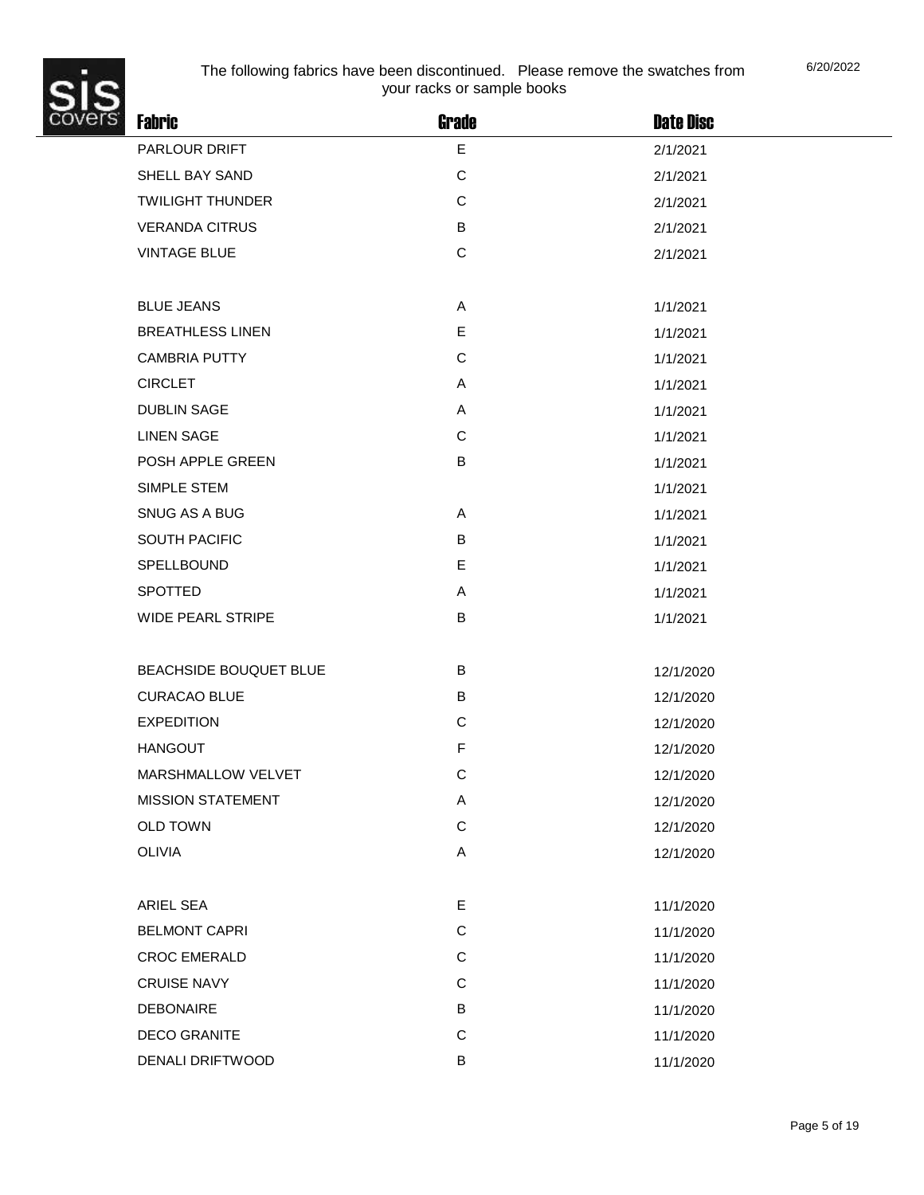

| <b>Fabric</b>            | <b>Grade</b> | <b>Date Disc</b> |
|--------------------------|--------------|------------------|
| PARLOUR DRIFT            | E            | 2/1/2021         |
| SHELL BAY SAND           | $\mathsf{C}$ | 2/1/2021         |
| <b>TWILIGHT THUNDER</b>  | C            | 2/1/2021         |
| <b>VERANDA CITRUS</b>    | В            | 2/1/2021         |
| <b>VINTAGE BLUE</b>      | $\mathsf{C}$ | 2/1/2021         |
|                          |              |                  |
| <b>BLUE JEANS</b>        | Α            | 1/1/2021         |
| <b>BREATHLESS LINEN</b>  | E            | 1/1/2021         |
| <b>CAMBRIA PUTTY</b>     | C            | 1/1/2021         |
| <b>CIRCLET</b>           | Α            | 1/1/2021         |
| <b>DUBLIN SAGE</b>       | Α            | 1/1/2021         |
| <b>LINEN SAGE</b>        | $\mathsf{C}$ | 1/1/2021         |
| POSH APPLE GREEN         | В            | 1/1/2021         |
| SIMPLE STEM              |              | 1/1/2021         |
| SNUG AS A BUG            | A            | 1/1/2021         |
| <b>SOUTH PACIFIC</b>     | B            | 1/1/2021         |
| SPELLBOUND               | E            | 1/1/2021         |
| <b>SPOTTED</b>           | A            | 1/1/2021         |
| <b>WIDE PEARL STRIPE</b> | В            | 1/1/2021         |
|                          |              |                  |
| BEACHSIDE BOUQUET BLUE   | B            | 12/1/2020        |
| <b>CURACAO BLUE</b>      | В            | 12/1/2020        |
| <b>EXPEDITION</b>        | $\mathsf{C}$ | 12/1/2020        |
| <b>HANGOUT</b>           | F            | 12/1/2020        |
| MARSHMALLOW VELVET       | C            | 12/1/2020        |
| <b>MISSION STATEMENT</b> | Α            | 12/1/2020        |
| <b>OLD TOWN</b>          | $\mathsf C$  | 12/1/2020        |
| <b>OLIVIA</b>            | A            | 12/1/2020        |
|                          |              |                  |
| ARIEL SEA                | E.           | 11/1/2020        |
| <b>BELMONT CAPRI</b>     | $\mathsf C$  | 11/1/2020        |
| <b>CROC EMERALD</b>      | C            | 11/1/2020        |
| <b>CRUISE NAVY</b>       | C            | 11/1/2020        |
| <b>DEBONAIRE</b>         | В            | 11/1/2020        |
| <b>DECO GRANITE</b>      | $\mathsf{C}$ | 11/1/2020        |
| DENALI DRIFTWOOD         | B            | 11/1/2020        |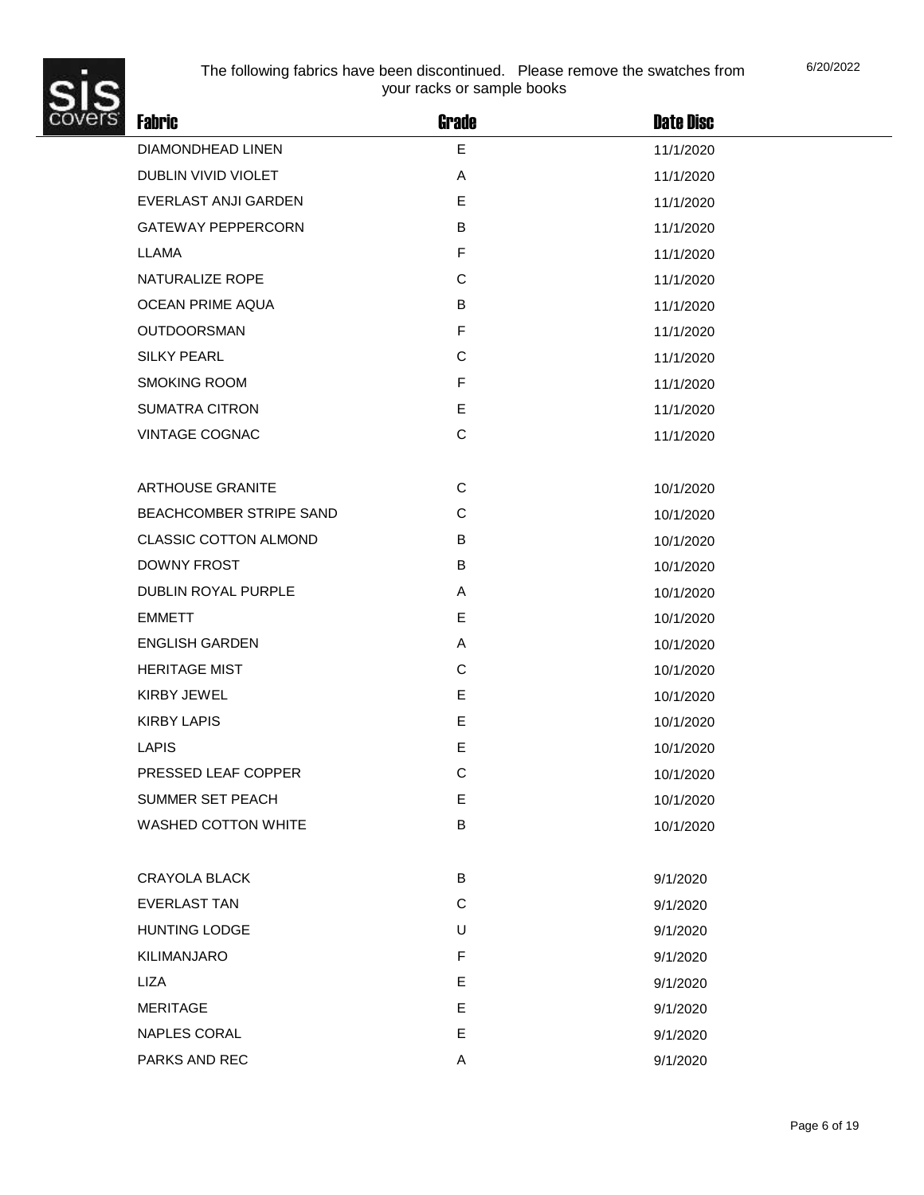

| ř. | <b>Fabric</b>                | <b>Grade</b> | <b>Date Disc</b> |
|----|------------------------------|--------------|------------------|
|    | DIAMONDHEAD LINEN            | E            | 11/1/2020        |
|    | DUBLIN VIVID VIOLET          | A            | 11/1/2020        |
|    | EVERLAST ANJI GARDEN         | Е            | 11/1/2020        |
|    | <b>GATEWAY PEPPERCORN</b>    | B            | 11/1/2020        |
|    | LLAMA                        | F            | 11/1/2020        |
|    | NATURALIZE ROPE              | C            | 11/1/2020        |
|    | <b>OCEAN PRIME AQUA</b>      | B            | 11/1/2020        |
|    | <b>OUTDOORSMAN</b>           | F            | 11/1/2020        |
|    | <b>SILKY PEARL</b>           | $\mathsf C$  | 11/1/2020        |
|    | <b>SMOKING ROOM</b>          | F            | 11/1/2020        |
|    | <b>SUMATRA CITRON</b>        | E            | 11/1/2020        |
|    | <b>VINTAGE COGNAC</b>        | $\mathsf C$  | 11/1/2020        |
|    |                              |              |                  |
|    | <b>ARTHOUSE GRANITE</b>      | C            | 10/1/2020        |
|    | BEACHCOMBER STRIPE SAND      | C            | 10/1/2020        |
|    | <b>CLASSIC COTTON ALMOND</b> | B            | 10/1/2020        |
|    | <b>DOWNY FROST</b>           | В            | 10/1/2020        |
|    | DUBLIN ROYAL PURPLE          | A            | 10/1/2020        |
|    | <b>EMMETT</b>                | Е            | 10/1/2020        |
|    | <b>ENGLISH GARDEN</b>        | Α            | 10/1/2020        |
|    | <b>HERITAGE MIST</b>         | C            | 10/1/2020        |
|    | <b>KIRBY JEWEL</b>           | E            | 10/1/2020        |
|    | <b>KIRBY LAPIS</b>           | E            | 10/1/2020        |
|    | LAPIS                        | E            | 10/1/2020        |
|    | PRESSED LEAF COPPER          | C            | 10/1/2020        |
|    | SUMMER SET PEACH             | E            | 10/1/2020        |
|    | WASHED COTTON WHITE          | B            | 10/1/2020        |
|    |                              |              |                  |
|    | <b>CRAYOLA BLACK</b>         | B            | 9/1/2020         |
|    | <b>EVERLAST TAN</b>          | C            | 9/1/2020         |
|    | <b>HUNTING LODGE</b>         | U            | 9/1/2020         |
|    | <b>KILIMANJARO</b>           | F            | 9/1/2020         |
|    | LIZA                         | E            | 9/1/2020         |
|    | <b>MERITAGE</b>              | E            | 9/1/2020         |
|    | NAPLES CORAL                 | E            | 9/1/2020         |
|    | PARKS AND REC                | Α            | 9/1/2020         |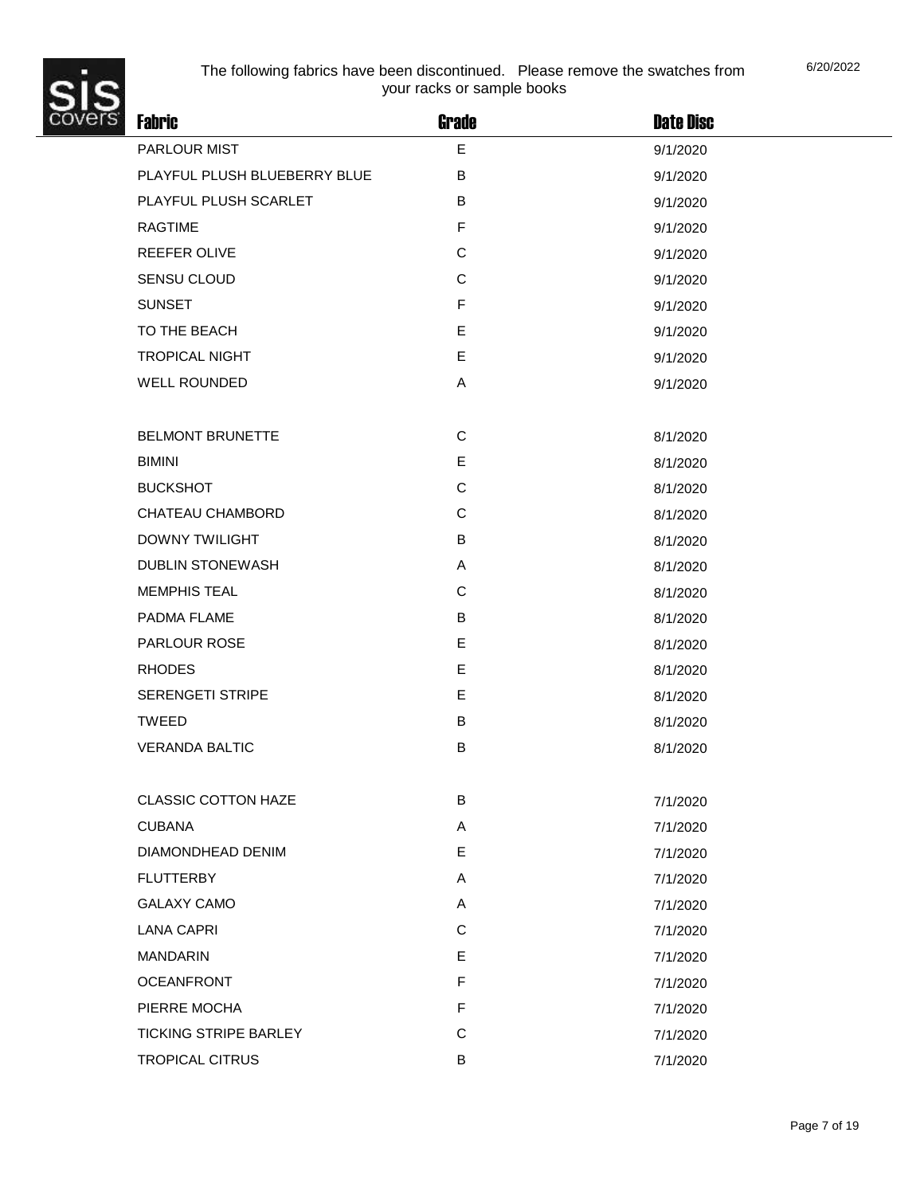

| y. | <b>Fabric</b>                | Grade        | <b>Date Disc</b> |
|----|------------------------------|--------------|------------------|
|    | PARLOUR MIST                 | E            | 9/1/2020         |
|    | PLAYFUL PLUSH BLUEBERRY BLUE | B            | 9/1/2020         |
|    | PLAYFUL PLUSH SCARLET        | B            | 9/1/2020         |
|    | <b>RAGTIME</b>               | F            | 9/1/2020         |
|    | REEFER OLIVE                 | $\mathsf C$  | 9/1/2020         |
|    | SENSU CLOUD                  | C            | 9/1/2020         |
|    | <b>SUNSET</b>                | $\mathsf{F}$ | 9/1/2020         |
|    | TO THE BEACH                 | E            | 9/1/2020         |
|    | <b>TROPICAL NIGHT</b>        | E            | 9/1/2020         |
|    | <b>WELL ROUNDED</b>          | Α            | 9/1/2020         |
|    |                              |              |                  |
|    | <b>BELMONT BRUNETTE</b>      | $\mathbf C$  | 8/1/2020         |
|    | <b>BIMINI</b>                | E            | 8/1/2020         |
|    | <b>BUCKSHOT</b>              | $\mathsf C$  | 8/1/2020         |
|    | CHATEAU CHAMBORD             | $\mathbf C$  | 8/1/2020         |
|    | <b>DOWNY TWILIGHT</b>        | B            | 8/1/2020         |
|    | <b>DUBLIN STONEWASH</b>      | Α            | 8/1/2020         |
|    | <b>MEMPHIS TEAL</b>          | C            | 8/1/2020         |
|    | PADMA FLAME                  | B            | 8/1/2020         |
|    | <b>PARLOUR ROSE</b>          | E            | 8/1/2020         |
|    | <b>RHODES</b>                | E            | 8/1/2020         |
|    | <b>SERENGETI STRIPE</b>      | E            | 8/1/2020         |
|    | <b>TWEED</b>                 | B            | 8/1/2020         |
|    | <b>VERANDA BALTIC</b>        | $\sf B$      | 8/1/2020         |
|    |                              |              |                  |
|    | <b>CLASSIC COTTON HAZE</b>   | B            | 7/1/2020         |
|    | <b>CUBANA</b>                | Α            | 7/1/2020         |
|    | DIAMONDHEAD DENIM            | E            | 7/1/2020         |
|    | <b>FLUTTERBY</b>             | A            | 7/1/2020         |
|    | <b>GALAXY CAMO</b>           | Α            | 7/1/2020         |
|    | <b>LANA CAPRI</b>            | $\mathsf C$  | 7/1/2020         |
|    | <b>MANDARIN</b>              | E            | 7/1/2020         |
|    | <b>OCEANFRONT</b>            | F            | 7/1/2020         |
|    | PIERRE MOCHA                 | F            | 7/1/2020         |
|    | <b>TICKING STRIPE BARLEY</b> | $\mathsf C$  | 7/1/2020         |
|    | TROPICAL CITRUS              | В            | 7/1/2020         |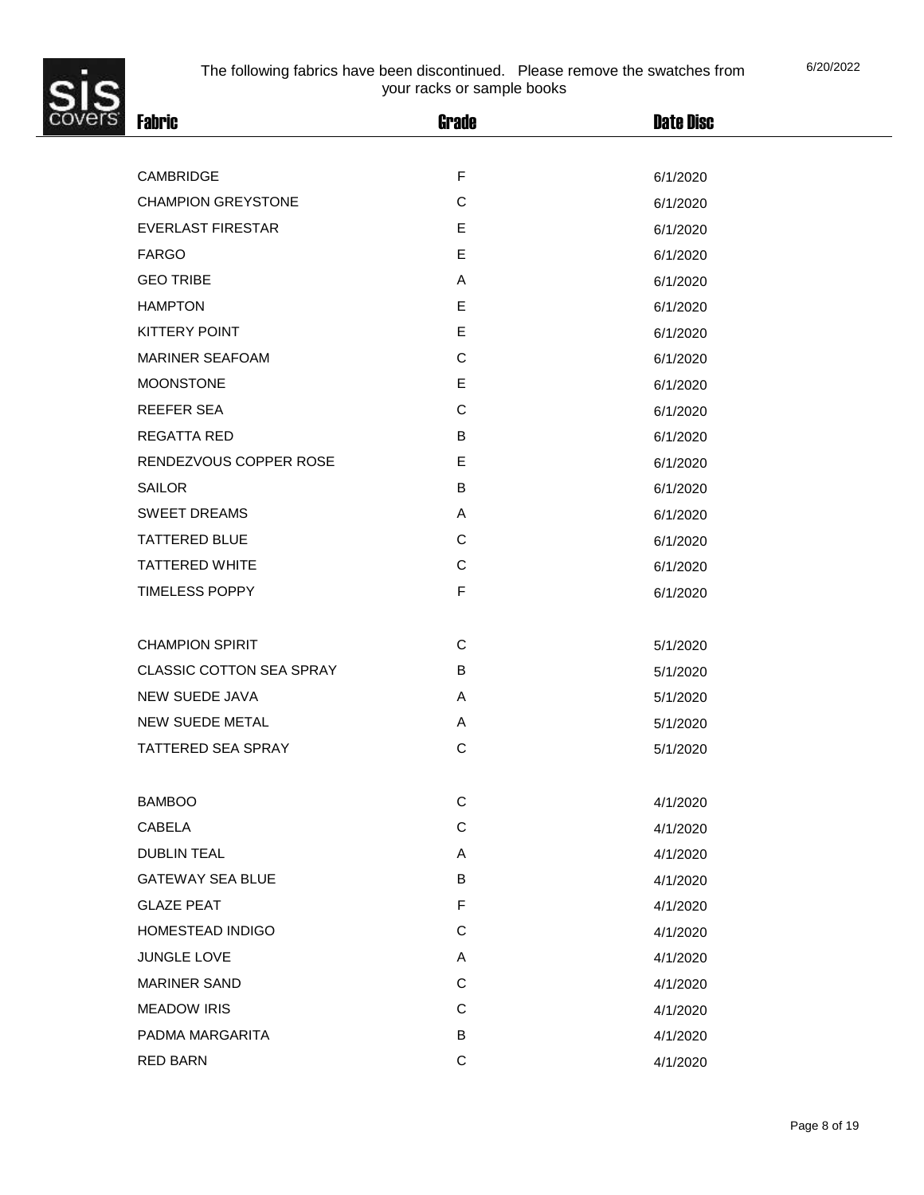| š.<br><b>Fabric</b>             | <b>Grade</b> | <b>Date Disc</b> |  |
|---------------------------------|--------------|------------------|--|
|                                 |              |                  |  |
| CAMBRIDGE                       | $\mathsf F$  | 6/1/2020         |  |
| <b>CHAMPION GREYSTONE</b>       | C            | 6/1/2020         |  |
| <b>EVERLAST FIRESTAR</b>        | E            | 6/1/2020         |  |
| <b>FARGO</b>                    | E            | 6/1/2020         |  |
| <b>GEO TRIBE</b>                | Α            | 6/1/2020         |  |
| <b>HAMPTON</b>                  | E            | 6/1/2020         |  |
| <b>KITTERY POINT</b>            | E            | 6/1/2020         |  |
| <b>MARINER SEAFOAM</b>          | $\mathsf C$  | 6/1/2020         |  |
| <b>MOONSTONE</b>                | E            | 6/1/2020         |  |
| <b>REEFER SEA</b>               | C            | 6/1/2020         |  |
| <b>REGATTA RED</b>              | B            | 6/1/2020         |  |
| RENDEZVOUS COPPER ROSE          | E            | 6/1/2020         |  |
| <b>SAILOR</b>                   | B            | 6/1/2020         |  |
| <b>SWEET DREAMS</b>             | Α            | 6/1/2020         |  |
| <b>TATTERED BLUE</b>            | C            | 6/1/2020         |  |
| <b>TATTERED WHITE</b>           | $\mathsf C$  | 6/1/2020         |  |
| <b>TIMELESS POPPY</b>           | $\mathsf F$  | 6/1/2020         |  |
|                                 |              |                  |  |
| <b>CHAMPION SPIRIT</b>          | C            | 5/1/2020         |  |
| <b>CLASSIC COTTON SEA SPRAY</b> | B            | 5/1/2020         |  |
| <b>NEW SUEDE JAVA</b>           | Α            | 5/1/2020         |  |
| NEW SUEDE METAL                 | Α            | 5/1/2020         |  |
| <b>TATTERED SEA SPRAY</b>       | $\mathsf C$  | 5/1/2020         |  |
|                                 |              |                  |  |
| <b>BAMBOO</b>                   | $\mathsf C$  | 4/1/2020         |  |
| <b>CABELA</b>                   | $\mathsf C$  | 4/1/2020         |  |
| <b>DUBLIN TEAL</b>              | A            | 4/1/2020         |  |
| <b>GATEWAY SEA BLUE</b>         | B            | 4/1/2020         |  |
| <b>GLAZE PEAT</b>               | F            | 4/1/2020         |  |
| HOMESTEAD INDIGO                | $\mathsf C$  | 4/1/2020         |  |
| JUNGLE LOVE                     | Α            | 4/1/2020         |  |
| <b>MARINER SAND</b>             | $\mathsf C$  | 4/1/2020         |  |
| <b>MEADOW IRIS</b>              | $\mathsf C$  | 4/1/2020         |  |
| PADMA MARGARITA                 | B            | 4/1/2020         |  |
| <b>RED BARN</b>                 | $\mathbf C$  | 4/1/2020         |  |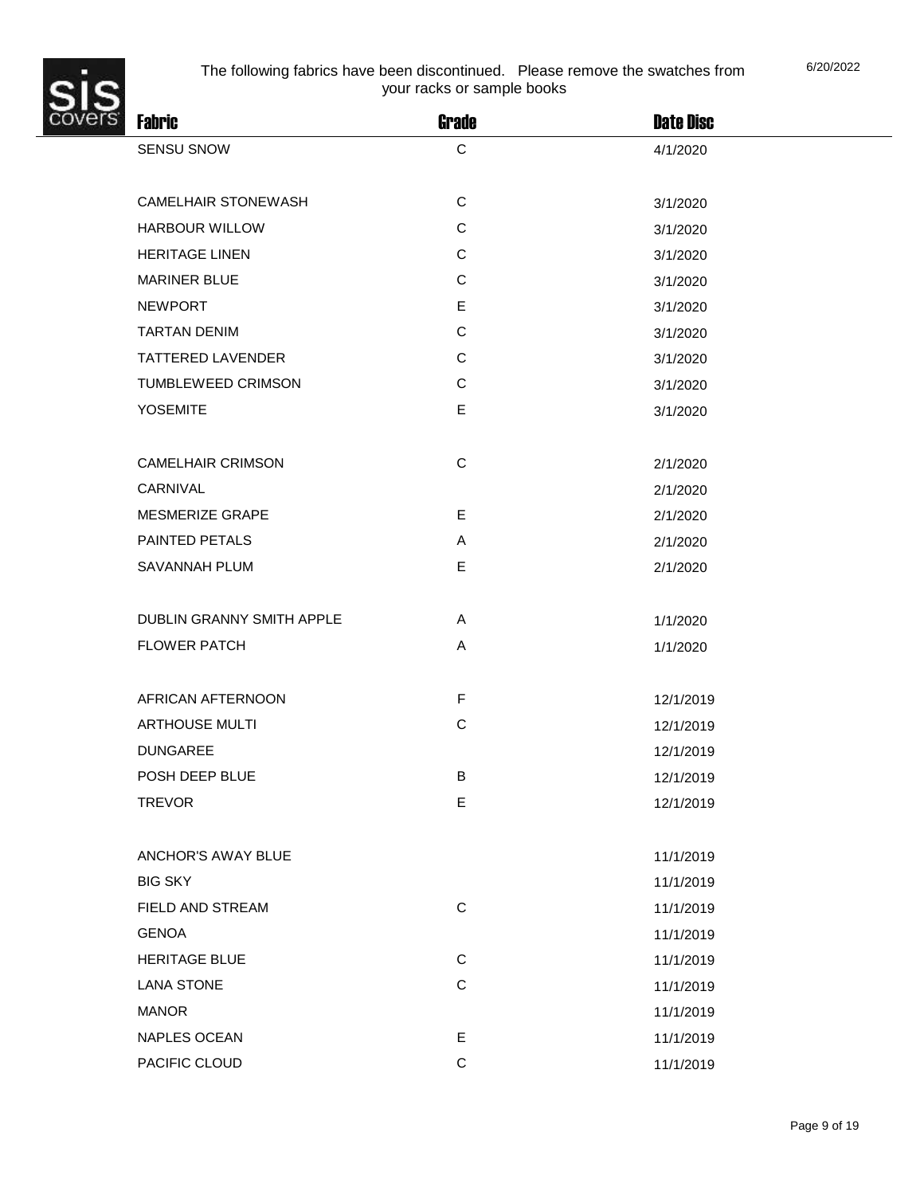

| <b>Fabric</b>                    | <b>Grade</b> | <b>Date Disc</b> |
|----------------------------------|--------------|------------------|
| <b>SENSU SNOW</b>                | C            | 4/1/2020         |
|                                  |              |                  |
| <b>CAMELHAIR STONEWASH</b>       | $\mathbf C$  | 3/1/2020         |
| <b>HARBOUR WILLOW</b>            | $\mathsf{C}$ | 3/1/2020         |
| <b>HERITAGE LINEN</b>            | $\mathbf C$  | 3/1/2020         |
| <b>MARINER BLUE</b>              | C            | 3/1/2020         |
| <b>NEWPORT</b>                   | Е            | 3/1/2020         |
| <b>TARTAN DENIM</b>              | $\mathbf C$  | 3/1/2020         |
| <b>TATTERED LAVENDER</b>         | $\mathbf C$  | 3/1/2020         |
| TUMBLEWEED CRIMSON               | $\mathbf C$  | 3/1/2020         |
| <b>YOSEMITE</b>                  | E            | 3/1/2020         |
|                                  |              |                  |
| <b>CAMELHAIR CRIMSON</b>         | $\mathsf C$  | 2/1/2020         |
| CARNIVAL                         |              | 2/1/2020         |
| MESMERIZE GRAPE                  | E            | 2/1/2020         |
| <b>PAINTED PETALS</b>            | Α            | 2/1/2020         |
| SAVANNAH PLUM                    | E            | 2/1/2020         |
|                                  |              |                  |
| <b>DUBLIN GRANNY SMITH APPLE</b> | A            | 1/1/2020         |
| <b>FLOWER PATCH</b>              | A            | 1/1/2020         |
|                                  |              |                  |
| AFRICAN AFTERNOON                | $\mathsf F$  | 12/1/2019        |
| <b>ARTHOUSE MULTI</b>            | $\mathbf C$  | 12/1/2019        |
| <b>DUNGAREE</b>                  |              | 12/1/2019        |
| POSH DEEP BLUE                   | В            | 12/1/2019        |
| <b>TREVOR</b>                    | E            | 12/1/2019        |
|                                  |              |                  |
| ANCHOR'S AWAY BLUE               |              | 11/1/2019        |
| <b>BIG SKY</b>                   |              | 11/1/2019        |
| FIELD AND STREAM                 | $\mathsf C$  | 11/1/2019        |
| <b>GENOA</b>                     |              | 11/1/2019        |
| HERITAGE BLUE                    | $\mathsf C$  | 11/1/2019        |
| <b>LANA STONE</b>                | $\mathbf C$  | 11/1/2019        |
| <b>MANOR</b>                     |              | 11/1/2019        |
| NAPLES OCEAN                     | E            | 11/1/2019        |
| PACIFIC CLOUD                    | $\mathsf C$  | 11/1/2019        |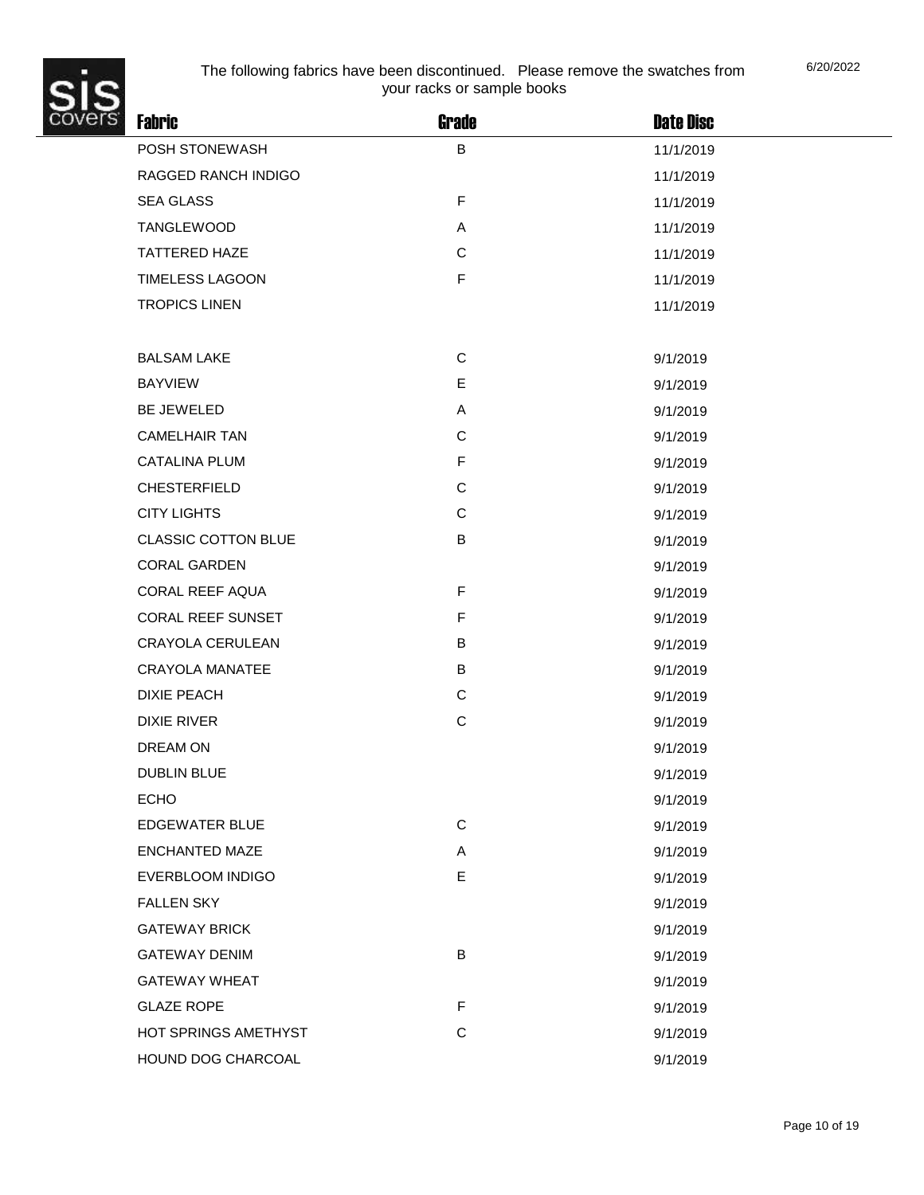

| <b>Fabric</b>              | Grade        | <b>Date Disc</b> |  |
|----------------------------|--------------|------------------|--|
| POSH STONEWASH             | B            | 11/1/2019        |  |
| RAGGED RANCH INDIGO        |              | 11/1/2019        |  |
| <b>SEA GLASS</b>           | $\mathsf F$  | 11/1/2019        |  |
| <b>TANGLEWOOD</b>          | Α            | 11/1/2019        |  |
| <b>TATTERED HAZE</b>       | $\mathsf{C}$ | 11/1/2019        |  |
| <b>TIMELESS LAGOON</b>     | $\mathsf F$  | 11/1/2019        |  |
| <b>TROPICS LINEN</b>       |              | 11/1/2019        |  |
|                            |              |                  |  |
| <b>BALSAM LAKE</b>         | $\mathsf{C}$ | 9/1/2019         |  |
| <b>BAYVIEW</b>             | E            | 9/1/2019         |  |
| <b>BE JEWELED</b>          | Α            | 9/1/2019         |  |
| <b>CAMELHAIR TAN</b>       | $\mathsf C$  | 9/1/2019         |  |
| <b>CATALINA PLUM</b>       | $\mathsf F$  | 9/1/2019         |  |
| <b>CHESTERFIELD</b>        | C            | 9/1/2019         |  |
| <b>CITY LIGHTS</b>         | $\mathsf{C}$ | 9/1/2019         |  |
| <b>CLASSIC COTTON BLUE</b> | B            | 9/1/2019         |  |
| <b>CORAL GARDEN</b>        |              | 9/1/2019         |  |
| CORAL REEF AQUA            | $\mathsf F$  | 9/1/2019         |  |
| CORAL REEF SUNSET          | $\mathsf F$  | 9/1/2019         |  |
| CRAYOLA CERULEAN           | B            | 9/1/2019         |  |
| <b>CRAYOLA MANATEE</b>     | B            | 9/1/2019         |  |
| <b>DIXIE PEACH</b>         | C            | 9/1/2019         |  |
| <b>DIXIE RIVER</b>         | $\mathsf C$  | 9/1/2019         |  |
| DREAM ON                   |              | 9/1/2019         |  |
| <b>DUBLIN BLUE</b>         |              | 9/1/2019         |  |
| <b>ECHO</b>                |              | 9/1/2019         |  |
| <b>EDGEWATER BLUE</b>      | $\mathbf C$  | 9/1/2019         |  |
| <b>ENCHANTED MAZE</b>      | Α            | 9/1/2019         |  |
| EVERBLOOM INDIGO           | E            | 9/1/2019         |  |
| <b>FALLEN SKY</b>          |              | 9/1/2019         |  |
| <b>GATEWAY BRICK</b>       |              | 9/1/2019         |  |
| <b>GATEWAY DENIM</b>       | B            | 9/1/2019         |  |
| <b>GATEWAY WHEAT</b>       |              | 9/1/2019         |  |
| <b>GLAZE ROPE</b>          | $\mathsf F$  | 9/1/2019         |  |
| HOT SPRINGS AMETHYST       | $\mathsf C$  | 9/1/2019         |  |
| HOUND DOG CHARCOAL         |              | 9/1/2019         |  |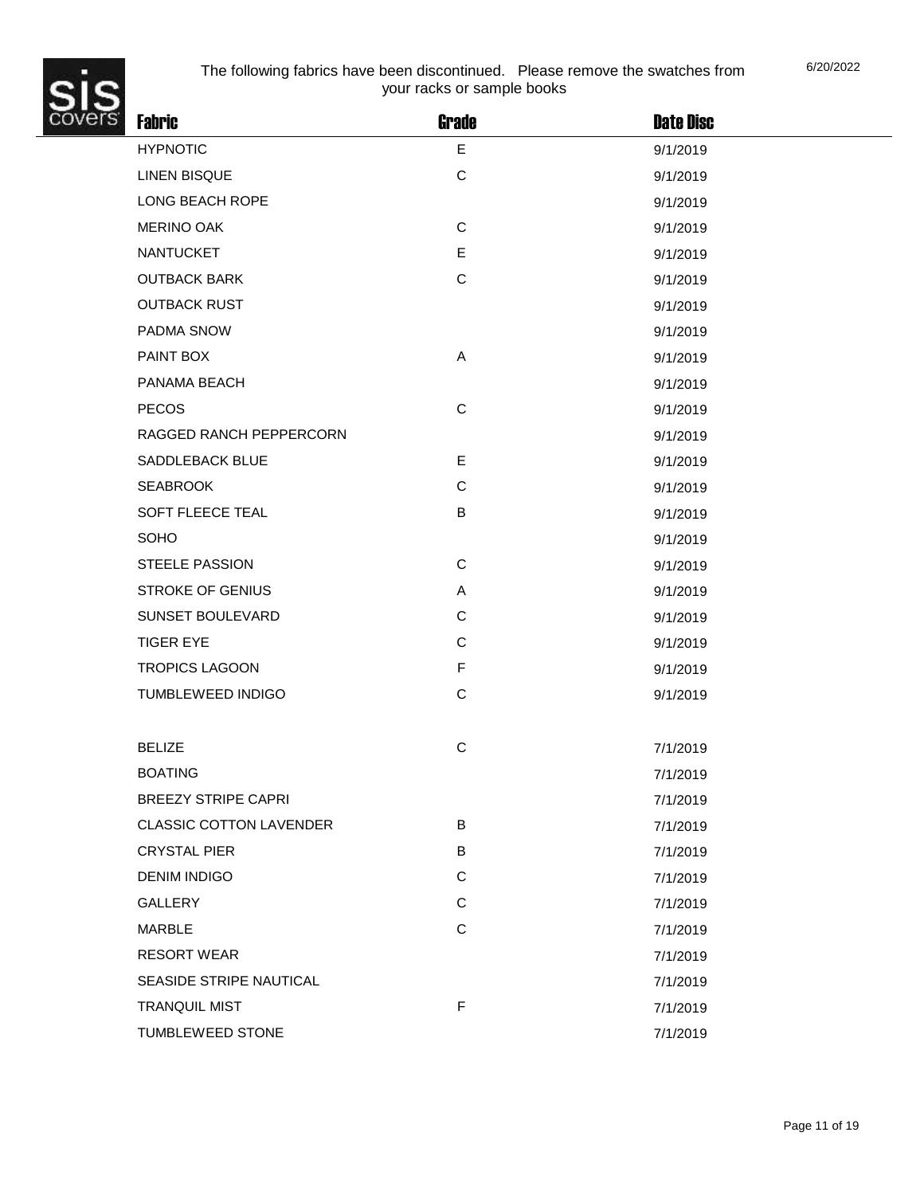

| <b>Fabric</b>                  | <b>Grade</b> | <b>Date Disc</b> |  |
|--------------------------------|--------------|------------------|--|
| <b>HYPNOTIC</b>                | E            | 9/1/2019         |  |
| <b>LINEN BISQUE</b>            | $\mathbf C$  | 9/1/2019         |  |
| LONG BEACH ROPE                |              | 9/1/2019         |  |
| <b>MERINO OAK</b>              | $\mathbf C$  | 9/1/2019         |  |
| <b>NANTUCKET</b>               | E            | 9/1/2019         |  |
| <b>OUTBACK BARK</b>            | $\mathsf C$  | 9/1/2019         |  |
| <b>OUTBACK RUST</b>            |              | 9/1/2019         |  |
| PADMA SNOW                     |              | 9/1/2019         |  |
| PAINT BOX                      | Α            | 9/1/2019         |  |
| PANAMA BEACH                   |              | 9/1/2019         |  |
| <b>PECOS</b>                   | $\mathbf C$  | 9/1/2019         |  |
| RAGGED RANCH PEPPERCORN        |              | 9/1/2019         |  |
| <b>SADDLEBACK BLUE</b>         | E            | 9/1/2019         |  |
| <b>SEABROOK</b>                | $\mathsf C$  | 9/1/2019         |  |
| SOFT FLEECE TEAL               | B            | 9/1/2019         |  |
| SOHO                           |              | 9/1/2019         |  |
| <b>STEELE PASSION</b>          | $\mathbf C$  | 9/1/2019         |  |
| <b>STROKE OF GENIUS</b>        | Α            | 9/1/2019         |  |
| SUNSET BOULEVARD               | $\mathbf C$  | 9/1/2019         |  |
| <b>TIGER EYE</b>               | $\mathbf C$  | 9/1/2019         |  |
| <b>TROPICS LAGOON</b>          | $\mathsf F$  | 9/1/2019         |  |
| <b>TUMBLEWEED INDIGO</b>       | C            | 9/1/2019         |  |
|                                |              |                  |  |
| <b>BELIZE</b>                  | $\mathbf C$  | 7/1/2019         |  |
| <b>BOATING</b>                 |              | 7/1/2019         |  |
| <b>BREEZY STRIPE CAPRI</b>     |              | 7/1/2019         |  |
| <b>CLASSIC COTTON LAVENDER</b> | В            | 7/1/2019         |  |
| <b>CRYSTAL PIER</b>            | В            | 7/1/2019         |  |
| <b>DENIM INDIGO</b>            | C            | 7/1/2019         |  |
| <b>GALLERY</b>                 | $\mathbf C$  | 7/1/2019         |  |
| <b>MARBLE</b>                  | $\mathbf C$  | 7/1/2019         |  |
| <b>RESORT WEAR</b>             |              | 7/1/2019         |  |
| SEASIDE STRIPE NAUTICAL        |              | 7/1/2019         |  |
| <b>TRANQUIL MIST</b>           | $\mathsf F$  | 7/1/2019         |  |
| TUMBLEWEED STONE               |              | 7/1/2019         |  |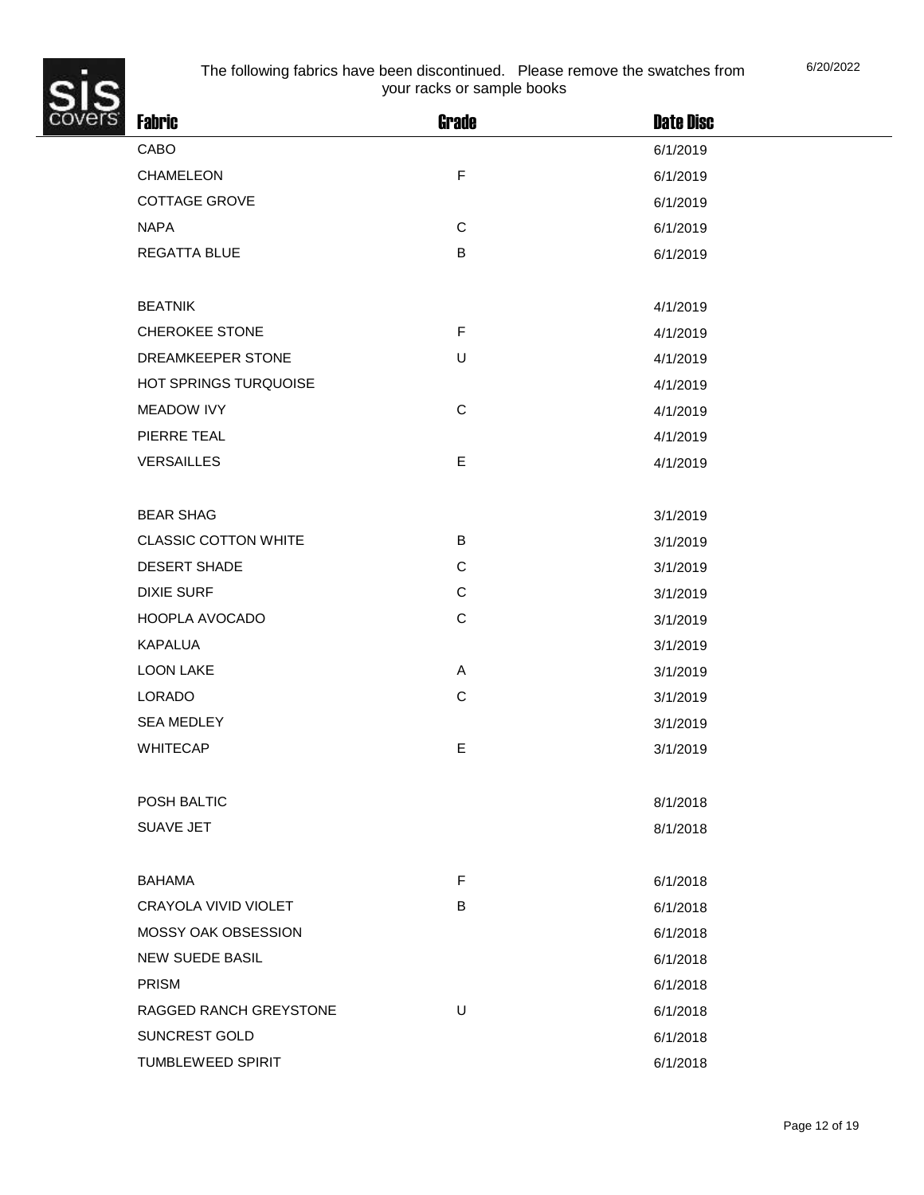

| <b>Fabric</b>               | <b>Grade</b> | <b>Date Disc</b> |
|-----------------------------|--------------|------------------|
| CABO                        |              | 6/1/2019         |
| CHAMELEON                   | $\mathsf F$  | 6/1/2019         |
| <b>COTTAGE GROVE</b>        |              | 6/1/2019         |
| <b>NAPA</b>                 | $\mathsf C$  | 6/1/2019         |
| <b>REGATTA BLUE</b>         | B            | 6/1/2019         |
|                             |              |                  |
| <b>BEATNIK</b>              |              | 4/1/2019         |
| <b>CHEROKEE STONE</b>       | $\mathsf F$  | 4/1/2019         |
| DREAMKEEPER STONE           | U            | 4/1/2019         |
| HOT SPRINGS TURQUOISE       |              | 4/1/2019         |
| <b>MEADOW IVY</b>           | $\mathsf C$  | 4/1/2019         |
| PIERRE TEAL                 |              | 4/1/2019         |
| <b>VERSAILLES</b>           | E            | 4/1/2019         |
|                             |              |                  |
| <b>BEAR SHAG</b>            |              | 3/1/2019         |
| <b>CLASSIC COTTON WHITE</b> | B            | 3/1/2019         |
| <b>DESERT SHADE</b>         | $\mathbf C$  | 3/1/2019         |
| <b>DIXIE SURF</b>           | $\mathbf C$  | 3/1/2019         |
| HOOPLA AVOCADO              | $\mathsf C$  | 3/1/2019         |
| <b>KAPALUA</b>              |              | 3/1/2019         |
| <b>LOON LAKE</b>            | A            | 3/1/2019         |
| LORADO                      | $\mathbf C$  | 3/1/2019         |
| <b>SEA MEDLEY</b>           |              | 3/1/2019         |
| <b>WHITECAP</b>             | E            | 3/1/2019         |
|                             |              |                  |
| POSH BALTIC                 |              | 8/1/2018         |
| SUAVE JET                   |              | 8/1/2018         |
|                             |              |                  |
| <b>BAHAMA</b>               | F            | 6/1/2018         |
| CRAYOLA VIVID VIOLET        | В            | 6/1/2018         |
| MOSSY OAK OBSESSION         |              | 6/1/2018         |
| <b>NEW SUEDE BASIL</b>      |              | 6/1/2018         |
| <b>PRISM</b>                |              | 6/1/2018         |
| RAGGED RANCH GREYSTONE      | $\sf U$      | 6/1/2018         |
| SUNCREST GOLD               |              | 6/1/2018         |
| TUMBLEWEED SPIRIT           |              | 6/1/2018         |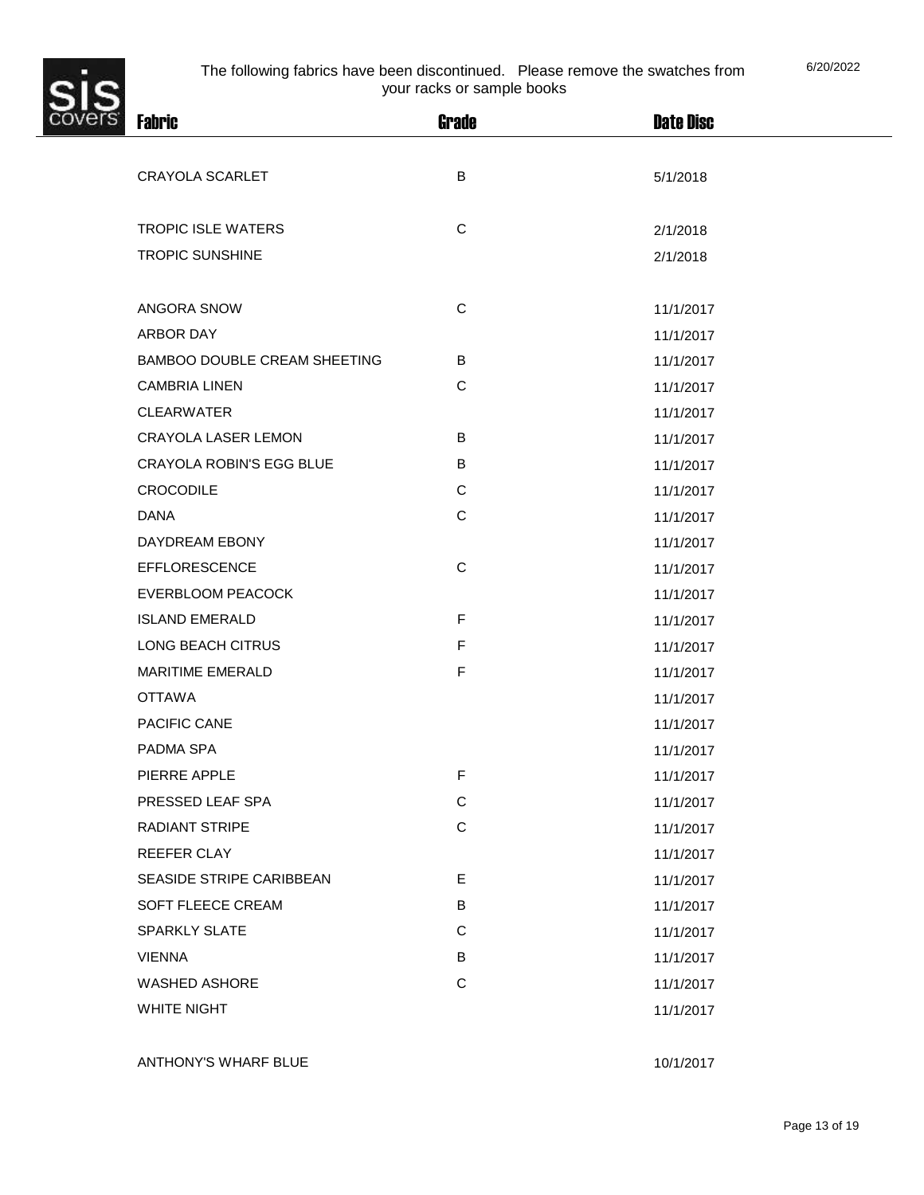

| $\tilde{s}$ | <b>Fabric</b>                   | <b>Grade</b> | <b>Date Disc</b> |
|-------------|---------------------------------|--------------|------------------|
|             |                                 |              |                  |
|             | <b>CRAYOLA SCARLET</b>          | B            | 5/1/2018         |
|             |                                 |              |                  |
|             | <b>TROPIC ISLE WATERS</b>       | $\mathsf C$  | 2/1/2018         |
|             | <b>TROPIC SUNSHINE</b>          |              | 2/1/2018         |
|             |                                 |              |                  |
|             | ANGORA SNOW                     | $\mathsf C$  | 11/1/2017        |
|             | ARBOR DAY                       |              | 11/1/2017        |
|             | BAMBOO DOUBLE CREAM SHEETING    | B            | 11/1/2017        |
|             | <b>CAMBRIA LINEN</b>            | $\mathbf C$  | 11/1/2017        |
|             | <b>CLEARWATER</b>               |              | 11/1/2017        |
|             | <b>CRAYOLA LASER LEMON</b>      | B            | 11/1/2017        |
|             | <b>CRAYOLA ROBIN'S EGG BLUE</b> | B            | 11/1/2017        |
|             | <b>CROCODILE</b>                | $\mathbf C$  | 11/1/2017        |
|             | <b>DANA</b>                     | $\mathsf C$  | 11/1/2017        |
|             | DAYDREAM EBONY                  |              | 11/1/2017        |
|             | <b>EFFLORESCENCE</b>            | $\mathbf C$  | 11/1/2017        |
|             | <b>EVERBLOOM PEACOCK</b>        |              | 11/1/2017        |
|             | <b>ISLAND EMERALD</b>           | F            | 11/1/2017        |
|             | LONG BEACH CITRUS               | $\mathsf F$  | 11/1/2017        |
|             | <b>MARITIME EMERALD</b>         | $\mathsf F$  | 11/1/2017        |
|             | <b>OTTAWA</b>                   |              | 11/1/2017        |
|             | PACIFIC CANE                    |              | 11/1/2017        |
|             | PADMA SPA                       |              | 11/1/2017        |
|             | PIERRE APPLE                    | F            | 11/1/2017        |
|             | PRESSED LEAF SPA                | $\mathbf C$  | 11/1/2017        |
|             | <b>RADIANT STRIPE</b>           | $\mathbf C$  | 11/1/2017        |
|             | REEFER CLAY                     |              | 11/1/2017        |
|             | SEASIDE STRIPE CARIBBEAN        | E            | 11/1/2017        |
|             | SOFT FLEECE CREAM               | B            | 11/1/2017        |
|             | <b>SPARKLY SLATE</b>            | $\mathbf C$  | 11/1/2017        |
|             | <b>VIENNA</b>                   | B            | 11/1/2017        |
|             | <b>WASHED ASHORE</b>            | $\mathbf C$  | 11/1/2017        |
|             | WHITE NIGHT                     |              | 11/1/2017        |
|             |                                 |              |                  |
|             | ANTHONY'S WHARF BLUE            |              | 10/1/2017        |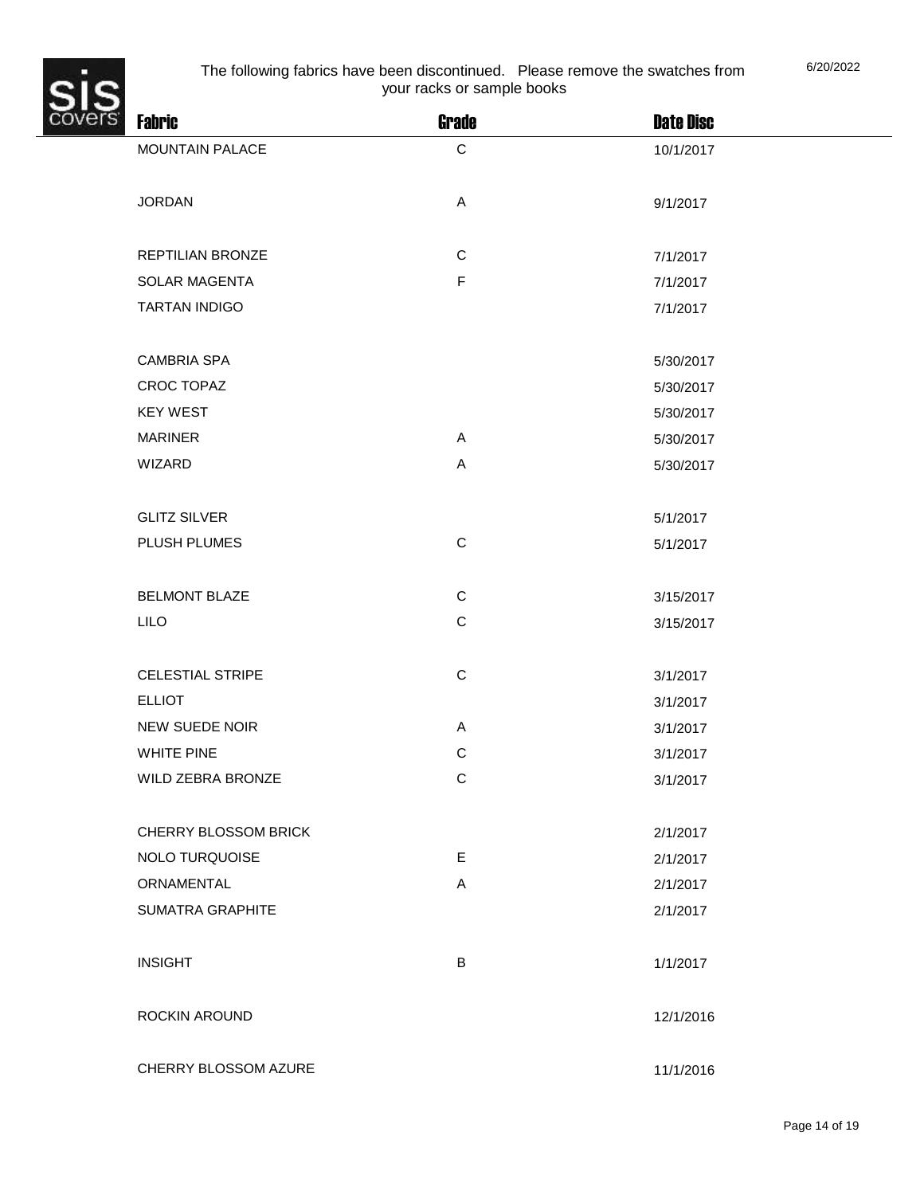

| $\frac{2}{5}$ | <b>Fabric</b>           | <b>Grade</b>              | <b>Date Disc</b> |
|---------------|-------------------------|---------------------------|------------------|
|               | MOUNTAIN PALACE         | $\mathbf C$               | 10/1/2017        |
|               |                         |                           |                  |
|               | <b>JORDAN</b>           | $\boldsymbol{\mathsf{A}}$ | 9/1/2017         |
|               |                         |                           |                  |
|               | REPTILIAN BRONZE        | $\mathsf C$               | 7/1/2017         |
|               | SOLAR MAGENTA           | $\mathsf F$               | 7/1/2017         |
|               | <b>TARTAN INDIGO</b>    |                           | 7/1/2017         |
|               |                         |                           |                  |
|               | <b>CAMBRIA SPA</b>      |                           | 5/30/2017        |
|               | <b>CROC TOPAZ</b>       |                           | 5/30/2017        |
|               | <b>KEY WEST</b>         |                           | 5/30/2017        |
|               | <b>MARINER</b>          | A                         | 5/30/2017        |
|               | WIZARD                  | $\mathsf A$               | 5/30/2017        |
|               |                         |                           |                  |
|               | <b>GLITZ SILVER</b>     |                           | 5/1/2017         |
|               | PLUSH PLUMES            | $\mathsf C$               | 5/1/2017         |
|               |                         |                           |                  |
|               | <b>BELMONT BLAZE</b>    | $\mathsf C$               | 3/15/2017        |
|               | <b>LILO</b>             | $\mathsf C$               | 3/15/2017        |
|               |                         |                           |                  |
|               | <b>CELESTIAL STRIPE</b> | $\mathsf C$               | 3/1/2017         |
|               | <b>ELLIOT</b>           |                           | 3/1/2017         |
|               | <b>NEW SUEDE NOIR</b>   | A                         | 3/1/2017         |
|               | <b>WHITE PINE</b>       | $\mathsf C$               | 3/1/2017         |
|               | WILD ZEBRA BRONZE       | C                         | 3/1/2017         |
|               |                         |                           |                  |
|               | CHERRY BLOSSOM BRICK    |                           | 2/1/2017         |
|               | <b>NOLO TURQUOISE</b>   | E                         | 2/1/2017         |
|               | ORNAMENTAL              | A                         | 2/1/2017         |
|               | SUMATRA GRAPHITE        |                           | 2/1/2017         |
|               |                         |                           |                  |
|               | <b>INSIGHT</b>          | $\sf B$                   | 1/1/2017         |
|               |                         |                           |                  |
|               | ROCKIN AROUND           |                           | 12/1/2016        |
|               |                         |                           |                  |
|               | CHERRY BLOSSOM AZURE    |                           | 11/1/2016        |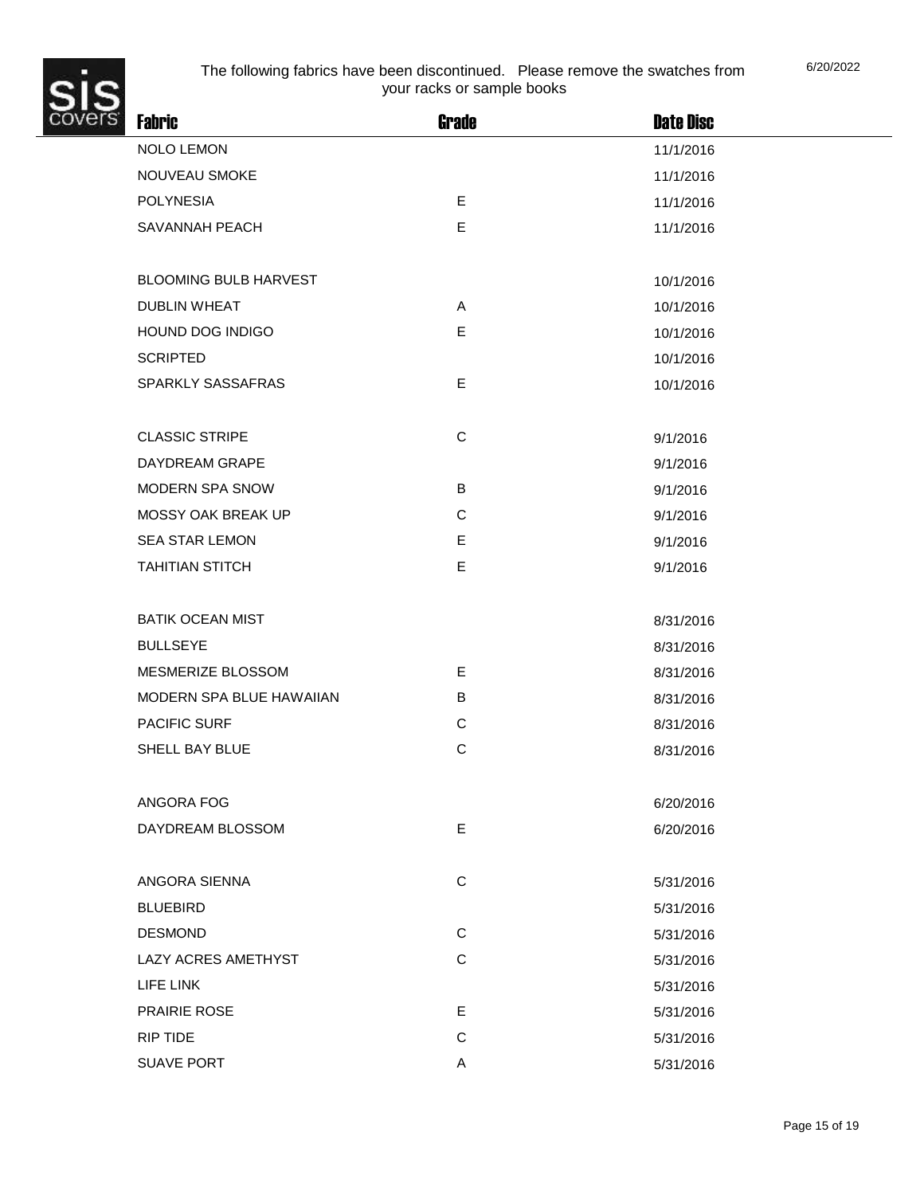

| <b>Fabric</b>                | <b>Grade</b> | <b>Date Disc</b> |
|------------------------------|--------------|------------------|
| <b>NOLO LEMON</b>            |              | 11/1/2016        |
| NOUVEAU SMOKE                |              | 11/1/2016        |
| <b>POLYNESIA</b>             | E            | 11/1/2016        |
| SAVANNAH PEACH               | E            | 11/1/2016        |
|                              |              |                  |
| <b>BLOOMING BULB HARVEST</b> |              | 10/1/2016        |
| <b>DUBLIN WHEAT</b>          | A            | 10/1/2016        |
| HOUND DOG INDIGO             | E            | 10/1/2016        |
| <b>SCRIPTED</b>              |              | 10/1/2016        |
| SPARKLY SASSAFRAS            | E            | 10/1/2016        |
|                              |              |                  |
| <b>CLASSIC STRIPE</b>        | $\mathsf C$  | 9/1/2016         |
| DAYDREAM GRAPE               |              | 9/1/2016         |
| MODERN SPA SNOW              | B            | 9/1/2016         |
| <b>MOSSY OAK BREAK UP</b>    | $\mathsf C$  | 9/1/2016         |
| <b>SEA STAR LEMON</b>        | E            | 9/1/2016         |
| <b>TAHITIAN STITCH</b>       | E            | 9/1/2016         |
|                              |              |                  |
| <b>BATIK OCEAN MIST</b>      |              | 8/31/2016        |
| <b>BULLSEYE</b>              |              | 8/31/2016        |
| MESMERIZE BLOSSOM            | E            | 8/31/2016        |
| MODERN SPA BLUE HAWAIIAN     | B            | 8/31/2016        |
| <b>PACIFIC SURF</b>          | $\mathsf C$  | 8/31/2016        |
| SHELL BAY BLUE               | $\mathsf{C}$ | 8/31/2016        |
|                              |              |                  |
| ANGORA FOG                   |              | 6/20/2016        |
| DAYDREAM BLOSSOM             | E            | 6/20/2016        |
|                              |              |                  |
| ANGORA SIENNA                | $\mathsf C$  | 5/31/2016        |
| <b>BLUEBIRD</b>              |              | 5/31/2016        |
| <b>DESMOND</b>               | $\mathsf{C}$ | 5/31/2016        |
| LAZY ACRES AMETHYST          | $\mathsf C$  | 5/31/2016        |
| LIFE LINK                    |              | 5/31/2016        |
| PRAIRIE ROSE                 | E            | 5/31/2016        |
| RIP TIDE                     | $\mathsf C$  | 5/31/2016        |
| SUAVE PORT                   | Α            | 5/31/2016        |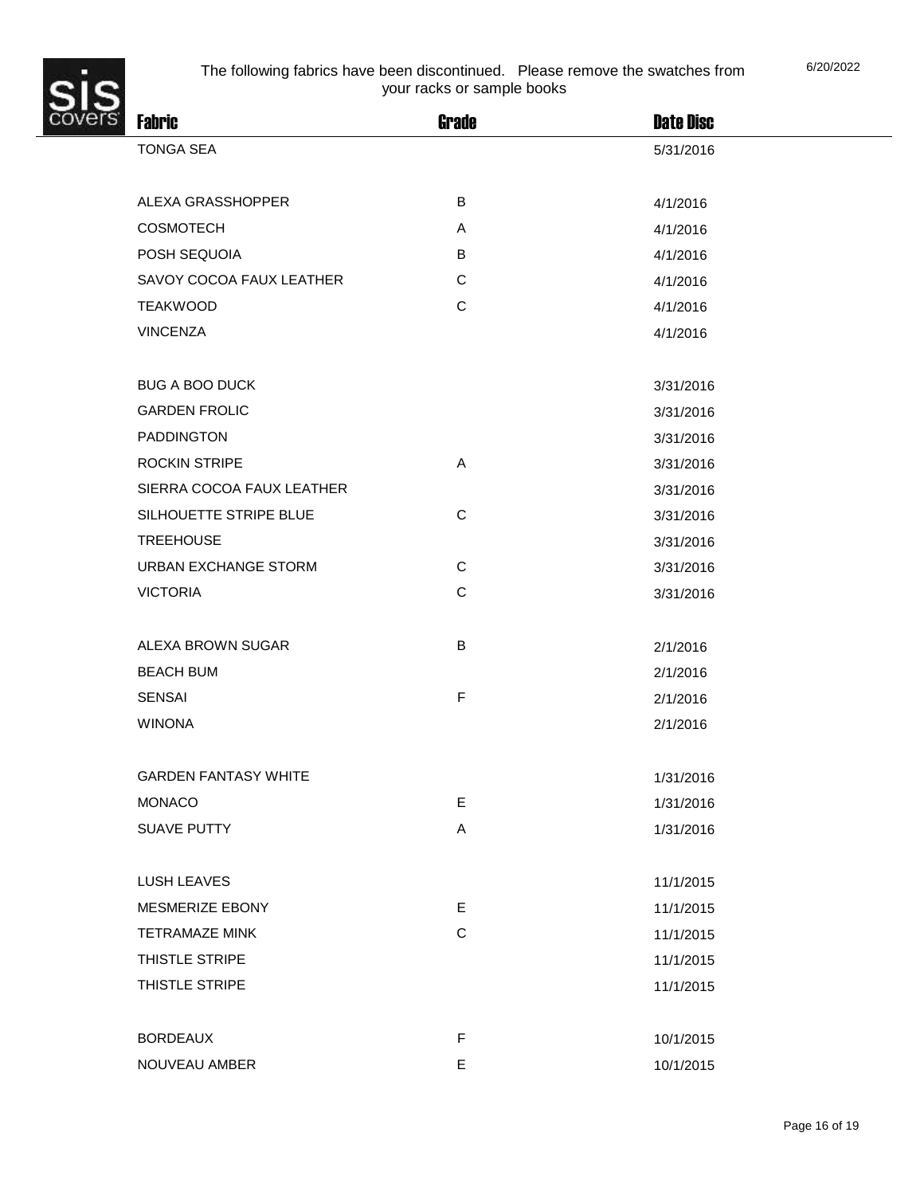

| 6/20/2022 |
|-----------|
|-----------|

| $\mathbf{s}$                |              |                  |
|-----------------------------|--------------|------------------|
| <b>Fabric</b>               | <b>Grade</b> | <b>Date Disc</b> |
| <b>TONGA SEA</b>            |              | 5/31/2016        |
| ALEXA GRASSHOPPER           | B            |                  |
|                             |              | 4/1/2016         |
| <b>COSMOTECH</b>            | Α            | 4/1/2016         |
| POSH SEQUOIA                | B            | 4/1/2016         |
| SAVOY COCOA FAUX LEATHER    | C            | 4/1/2016         |
| <b>TEAKWOOD</b>             | $\mathbf C$  | 4/1/2016         |
| <b>VINCENZA</b>             |              | 4/1/2016         |
| <b>BUG A BOO DUCK</b>       |              | 3/31/2016        |
| <b>GARDEN FROLIC</b>        |              | 3/31/2016        |
| <b>PADDINGTON</b>           |              | 3/31/2016        |
| <b>ROCKIN STRIPE</b>        | A            | 3/31/2016        |
| SIERRA COCOA FAUX LEATHER   |              | 3/31/2016        |
| SILHOUETTE STRIPE BLUE      | $\mathbf C$  | 3/31/2016        |
| <b>TREEHOUSE</b>            |              | 3/31/2016        |
| URBAN EXCHANGE STORM        | $\mathbf C$  | 3/31/2016        |
| <b>VICTORIA</b>             | $\mathbf C$  | 3/31/2016        |
|                             |              |                  |
| ALEXA BROWN SUGAR           | B            | 2/1/2016         |
| <b>BEACH BUM</b>            |              | 2/1/2016         |
| <b>SENSAI</b>               | $\mathsf F$  | 2/1/2016         |
| <b>WINONA</b>               |              | 2/1/2016         |
|                             |              |                  |
| <b>GARDEN FANTASY WHITE</b> |              | 1/31/2016        |
| <b>MONACO</b>               | E            | 1/31/2016        |
| <b>SUAVE PUTTY</b>          | A            | 1/31/2016        |
|                             |              |                  |
| LUSH LEAVES                 |              | 11/1/2015        |
| MESMERIZE EBONY             | E.           | 11/1/2015        |
| <b>TETRAMAZE MINK</b>       | $\mathbf C$  | 11/1/2015        |
| THISTLE STRIPE              |              | 11/1/2015        |
| THISTLE STRIPE              |              | 11/1/2015        |
|                             | $\mathsf F$  |                  |
| <b>BORDEAUX</b>             |              | 10/1/2015        |
| NOUVEAU AMBER               | E            | 10/1/2015        |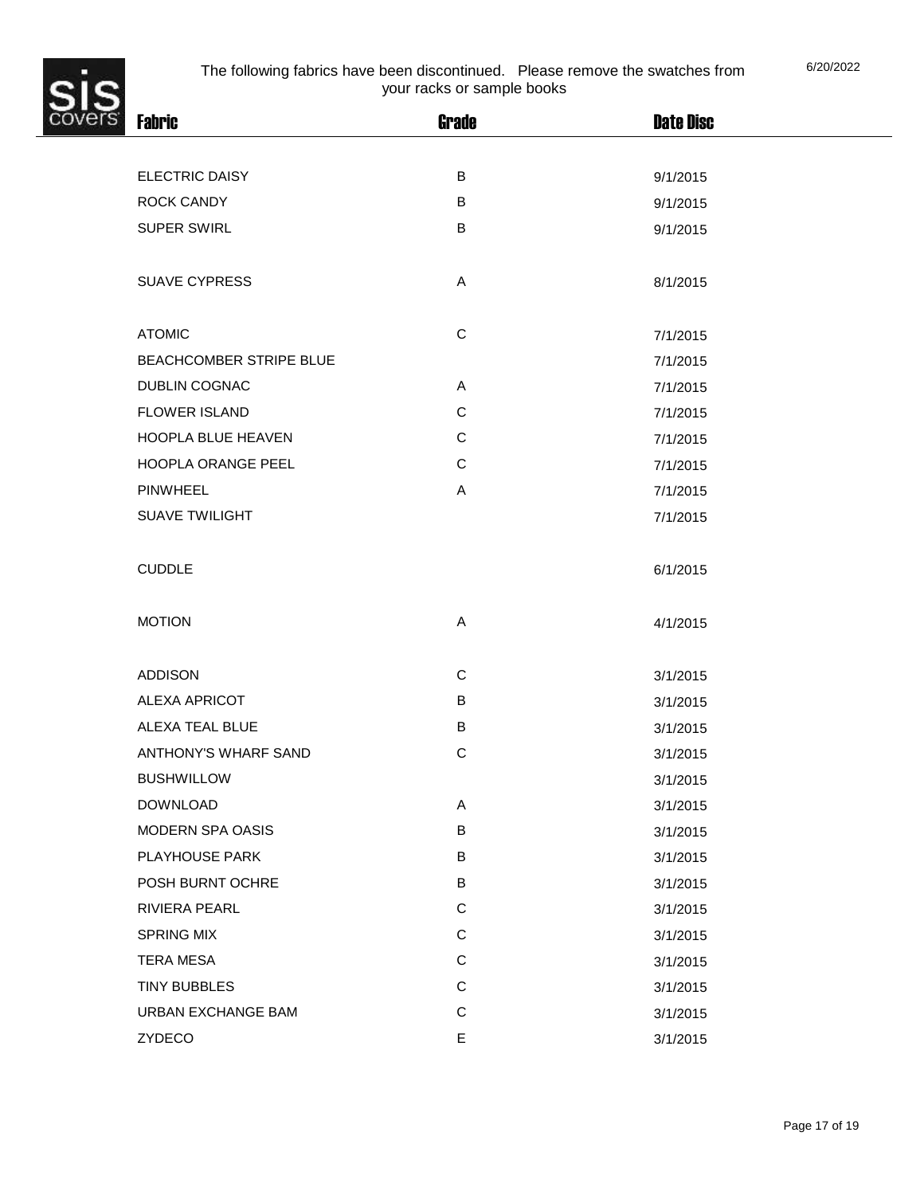

| ś. | <b>Fabric</b>           | <b>Grade</b> | <b>Date Disc</b> |  |
|----|-------------------------|--------------|------------------|--|
|    | ELECTRIC DAISY          | B            | 9/1/2015         |  |
|    | <b>ROCK CANDY</b>       | В            | 9/1/2015         |  |
|    | <b>SUPER SWIRL</b>      | B            | 9/1/2015         |  |
|    | <b>SUAVE CYPRESS</b>    | A            | 8/1/2015         |  |
|    | <b>ATOMIC</b>           | $\mathsf C$  | 7/1/2015         |  |
|    | BEACHCOMBER STRIPE BLUE |              | 7/1/2015         |  |
|    | <b>DUBLIN COGNAC</b>    | Α            | 7/1/2015         |  |
|    | <b>FLOWER ISLAND</b>    | $\mathsf C$  | 7/1/2015         |  |
|    | HOOPLA BLUE HEAVEN      | $\mathsf C$  | 7/1/2015         |  |
|    | HOOPLA ORANGE PEEL      | $\mathsf C$  | 7/1/2015         |  |
|    | <b>PINWHEEL</b>         | Α            | 7/1/2015         |  |
|    | <b>SUAVE TWILIGHT</b>   |              | 7/1/2015         |  |
|    | <b>CUDDLE</b>           |              | 6/1/2015         |  |
|    | <b>MOTION</b>           | A            | 4/1/2015         |  |
|    | <b>ADDISON</b>          | $\mathsf C$  | 3/1/2015         |  |
|    | ALEXA APRICOT           | B            | 3/1/2015         |  |
|    | ALEXA TEAL BLUE         | B            | 3/1/2015         |  |
|    | ANTHONY'S WHARF SAND    | $\mathsf C$  | 3/1/2015         |  |
|    | <b>BUSHWILLOW</b>       |              | 3/1/2015         |  |
|    | <b>DOWNLOAD</b>         | Α            | 3/1/2015         |  |
|    | MODERN SPA OASIS        | B            | 3/1/2015         |  |
|    | PLAYHOUSE PARK          | B            | 3/1/2015         |  |
|    | POSH BURNT OCHRE        | B            | 3/1/2015         |  |
|    | RIVIERA PEARL           | $\mathsf C$  | 3/1/2015         |  |
|    | <b>SPRING MIX</b>       | $\mathsf C$  | 3/1/2015         |  |
|    | <b>TERA MESA</b>        | $\mathsf C$  | 3/1/2015         |  |
|    | <b>TINY BUBBLES</b>     | $\mathsf C$  | 3/1/2015         |  |
|    | URBAN EXCHANGE BAM      | $\mathsf C$  | 3/1/2015         |  |
|    | ZYDECO                  | E            | 3/1/2015         |  |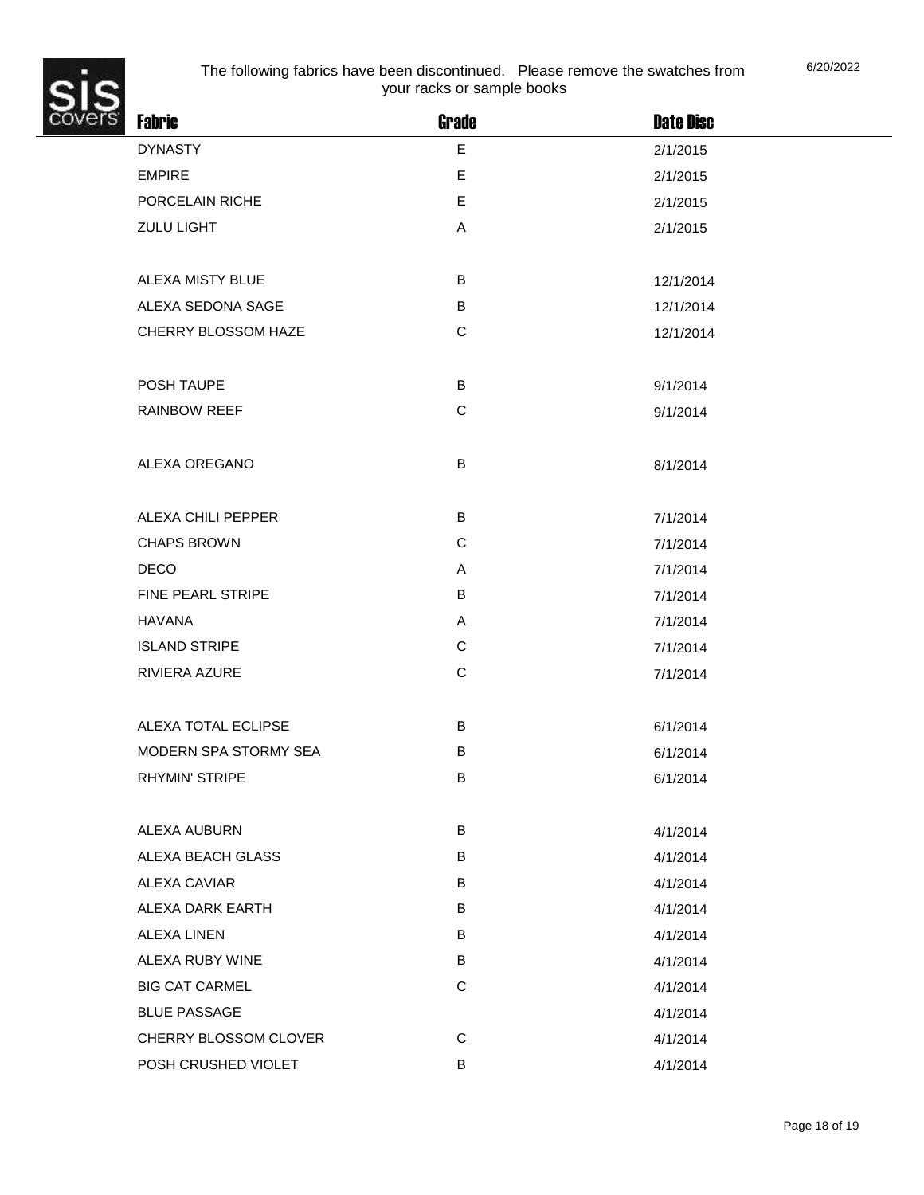

| ŝ.<br><b>Fabric</b>   | <b>Grade</b> | <b>Date Disc</b> |  |
|-----------------------|--------------|------------------|--|
| <b>DYNASTY</b>        | E            | 2/1/2015         |  |
| <b>EMPIRE</b>         | E            | 2/1/2015         |  |
| PORCELAIN RICHE       | E            | 2/1/2015         |  |
| ZULU LIGHT            | A            | 2/1/2015         |  |
|                       |              |                  |  |
| ALEXA MISTY BLUE      | B            | 12/1/2014        |  |
| ALEXA SEDONA SAGE     | $\sf B$      | 12/1/2014        |  |
| CHERRY BLOSSOM HAZE   | $\mathsf C$  | 12/1/2014        |  |
|                       |              |                  |  |
| POSH TAUPE            | $\sf B$      | 9/1/2014         |  |
| <b>RAINBOW REEF</b>   | $\mathbf C$  | 9/1/2014         |  |
|                       |              |                  |  |
| ALEXA OREGANO         | B            | 8/1/2014         |  |
|                       |              |                  |  |
| ALEXA CHILI PEPPER    | B            | 7/1/2014         |  |
| <b>CHAPS BROWN</b>    | $\mathbf C$  | 7/1/2014         |  |
| <b>DECO</b>           | A            | 7/1/2014         |  |
| FINE PEARL STRIPE     | B            | 7/1/2014         |  |
| <b>HAVANA</b>         | Α            | 7/1/2014         |  |
| <b>ISLAND STRIPE</b>  | $\mathbf C$  | 7/1/2014         |  |
| RIVIERA AZURE         | $\mathbf C$  | 7/1/2014         |  |
|                       |              |                  |  |
| ALEXA TOTAL ECLIPSE   | B            | 6/1/2014         |  |
| MODERN SPA STORMY SEA | B            | 6/1/2014         |  |
| <b>RHYMIN' STRIPE</b> | B            | 6/1/2014         |  |
|                       |              |                  |  |
| ALEXA AUBURN          | B            | 4/1/2014         |  |
| ALEXA BEACH GLASS     | B            | 4/1/2014         |  |
| <b>ALEXA CAVIAR</b>   | B            | 4/1/2014         |  |
| ALEXA DARK EARTH      | B            | 4/1/2014         |  |
| <b>ALEXA LINEN</b>    | B            | 4/1/2014         |  |
| ALEXA RUBY WINE       | B            | 4/1/2014         |  |
| <b>BIG CAT CARMEL</b> | $\mathbf C$  | 4/1/2014         |  |
| <b>BLUE PASSAGE</b>   |              | 4/1/2014         |  |
| CHERRY BLOSSOM CLOVER | $\mathbf C$  | 4/1/2014         |  |
| POSH CRUSHED VIOLET   | $\sf B$      | 4/1/2014         |  |